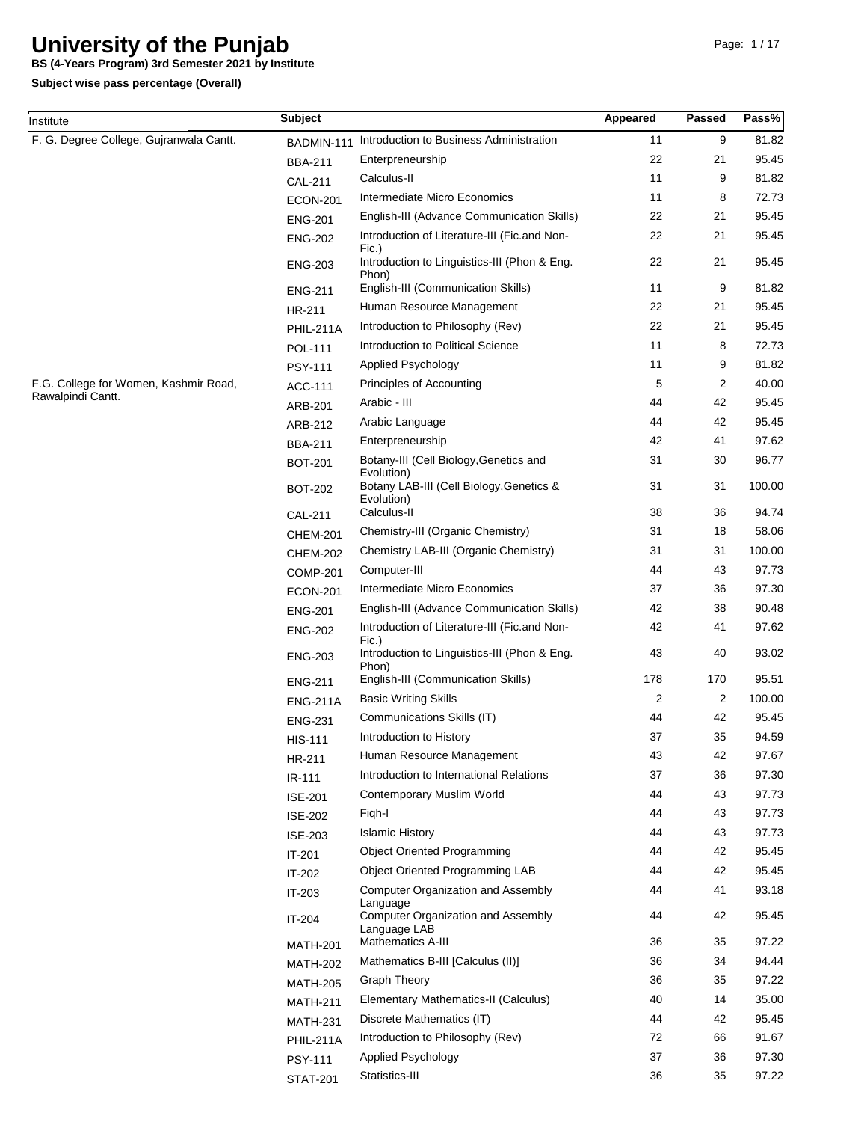**BS (4-Years Program) 3rd Semester 2021 by Institute**

| Institute                               | <b>Subject</b>  |                                                                       | Appeared       | Passed | Pass%  |
|-----------------------------------------|-----------------|-----------------------------------------------------------------------|----------------|--------|--------|
| F. G. Degree College, Gujranwala Cantt. | BADMIN-111      | Introduction to Business Administration                               | 11             | 9      | 81.82  |
|                                         | <b>BBA-211</b>  | Enterpreneurship                                                      | 22             | 21     | 95.45  |
|                                         | CAL-211         | Calculus-II                                                           | 11             | 9      | 81.82  |
|                                         | <b>ECON-201</b> | Intermediate Micro Economics                                          | 11             | 8      | 72.73  |
|                                         | <b>ENG-201</b>  | English-III (Advance Communication Skills)                            | 22             | 21     | 95.45  |
|                                         | <b>ENG-202</b>  | Introduction of Literature-III (Fic.and Non-                          | 22             | 21     | 95.45  |
|                                         | <b>ENG-203</b>  | Fic.)<br>Introduction to Linguistics-III (Phon & Eng.<br>Phon)        | 22             | 21     | 95.45  |
|                                         | <b>ENG-211</b>  | English-III (Communication Skills)                                    | 11             | 9      | 81.82  |
|                                         | HR-211          | Human Resource Management                                             | 22             | 21     | 95.45  |
|                                         | PHIL-211A       | Introduction to Philosophy (Rev)                                      | 22             | 21     | 95.45  |
|                                         | POL-111         | Introduction to Political Science                                     | 11             | 8      | 72.73  |
|                                         | <b>PSY-111</b>  | Applied Psychology                                                    | 11             | 9      | 81.82  |
| F.G. College for Women, Kashmir Road,   | ACC-111         | Principles of Accounting                                              | 5              | 2      | 40.00  |
| Rawalpindi Cantt.                       | ARB-201         | Arabic - III                                                          | 44             | 42     | 95.45  |
|                                         | ARB-212         | Arabic Language                                                       | 44             | 42     | 95.45  |
|                                         | <b>BBA-211</b>  | Enterpreneurship                                                      | 42             | 41     | 97.62  |
|                                         | <b>BOT-201</b>  | Botany-III (Cell Biology, Genetics and<br>Evolution)                  | 31             | 30     | 96.77  |
|                                         | <b>BOT-202</b>  | Botany LAB-III (Cell Biology, Genetics &<br>Evolution)                | 31             | 31     | 100.00 |
|                                         | <b>CAL-211</b>  | Calculus-II                                                           | 38             | 36     | 94.74  |
|                                         | <b>CHEM-201</b> | Chemistry-III (Organic Chemistry)                                     | 31             | 18     | 58.06  |
|                                         | <b>CHEM-202</b> | Chemistry LAB-III (Organic Chemistry)                                 | 31             | 31     | 100.00 |
|                                         | <b>COMP-201</b> | Computer-III                                                          | 44             | 43     | 97.73  |
|                                         | <b>ECON-201</b> | Intermediate Micro Economics                                          | 37             | 36     | 97.30  |
|                                         | <b>ENG-201</b>  | English-III (Advance Communication Skills)                            | 42             | 38     | 90.48  |
|                                         | <b>ENG-202</b>  | Introduction of Literature-III (Fic.and Non-<br>Fic.)                 | 42             | 41     | 97.62  |
|                                         | <b>ENG-203</b>  | Introduction to Linguistics-III (Phon & Eng.<br>Phon)                 | 43             | 40     | 93.02  |
|                                         | <b>ENG-211</b>  | English-III (Communication Skills)                                    | 178            | 170    | 95.51  |
|                                         | <b>ENG-211A</b> | <b>Basic Writing Skills</b>                                           | $\overline{2}$ | 2      | 100.00 |
|                                         | <b>ENG-231</b>  | Communications Skills (IT)                                            | 44             | 42     | 95.45  |
|                                         | <b>HIS-111</b>  | Introduction to History                                               | 37             | 35     | 94.59  |
|                                         | HR-211          | Human Resource Management                                             | 43             | 42     | 97.67  |
|                                         | IR-111          | Introduction to International Relations                               | 37             | 36     | 97.30  |
|                                         | <b>ISE-201</b>  | Contemporary Muslim World                                             | 44             | 43     | 97.73  |
|                                         | <b>ISE-202</b>  | Figh-I                                                                | 44             | 43     | 97.73  |
|                                         | <b>ISE-203</b>  | <b>Islamic History</b>                                                | 44             | 43     | 97.73  |
|                                         | IT-201          | <b>Object Oriented Programming</b>                                    | 44             | 42     | 95.45  |
|                                         | IT-202          | <b>Object Oriented Programming LAB</b>                                | 44             | 42     | 95.45  |
|                                         | IT-203          | <b>Computer Organization and Assembly</b>                             | 44             | 41     | 93.18  |
|                                         | IT-204          | Language<br><b>Computer Organization and Assembly</b><br>Language LAB | 44             | 42     | 95.45  |
|                                         | <b>MATH-201</b> | Mathematics A-III                                                     | 36             | 35     | 97.22  |
|                                         | <b>MATH-202</b> | Mathematics B-III [Calculus (II)]                                     | 36             | 34     | 94.44  |
|                                         | <b>MATH-205</b> | <b>Graph Theory</b>                                                   | 36             | 35     | 97.22  |
|                                         | <b>MATH-211</b> | Elementary Mathematics-II (Calculus)                                  | 40             | 14     | 35.00  |
|                                         | <b>MATH-231</b> | Discrete Mathematics (IT)                                             | 44             | 42     | 95.45  |
|                                         | PHIL-211A       | Introduction to Philosophy (Rev)                                      | 72             | 66     | 91.67  |
|                                         | <b>PSY-111</b>  | Applied Psychology                                                    | 37             | 36     | 97.30  |
|                                         | <b>STAT-201</b> | Statistics-III                                                        | 36             | 35     | 97.22  |
|                                         |                 |                                                                       |                |        |        |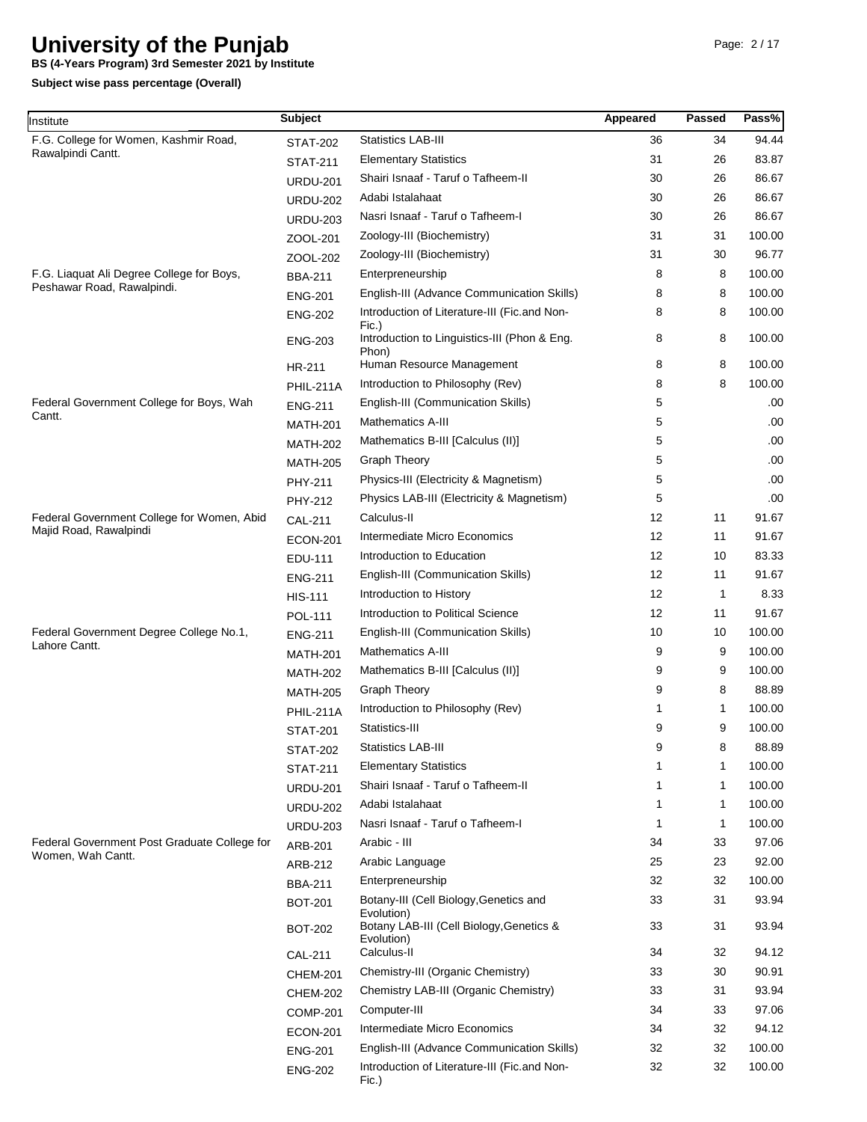**BS (4-Years Program) 3rd Semester 2021 by Institute**

| nstitute                                     | <b>Subject</b>                   |                                                                                                     | Appeared | <b>Passed</b> | Pass%  |
|----------------------------------------------|----------------------------------|-----------------------------------------------------------------------------------------------------|----------|---------------|--------|
| F.G. College for Women, Kashmir Road,        | <b>STAT-202</b>                  | <b>Statistics LAB-III</b>                                                                           | 36       | 34            | 94.44  |
| Rawalpindi Cantt.                            | <b>STAT-211</b>                  | <b>Elementary Statistics</b>                                                                        | 31       | 26            | 83.87  |
|                                              | <b>URDU-201</b>                  | Shairi Isnaaf - Taruf o Tafheem-II                                                                  | 30       | 26            | 86.67  |
|                                              | <b>URDU-202</b>                  | Adabi Istalahaat                                                                                    | 30       | 26            | 86.67  |
|                                              | <b>URDU-203</b>                  | Nasri Isnaaf - Taruf o Tafheem-I                                                                    | 30       | 26            | 86.67  |
|                                              | ZOOL-201                         | Zoology-III (Biochemistry)                                                                          | 31       | 31            | 100.00 |
|                                              | ZOOL-202                         | Zoology-III (Biochemistry)                                                                          | 31       | 30            | 96.77  |
| F.G. Liaquat Ali Degree College for Boys,    | <b>BBA-211</b>                   | Enterpreneurship                                                                                    | 8        | 8             | 100.00 |
| Peshawar Road, Rawalpindi.                   | <b>ENG-201</b>                   | English-III (Advance Communication Skills)                                                          | 8        | 8             | 100.00 |
|                                              | <b>ENG-202</b>                   | Introduction of Literature-III (Fic.and Non-<br>Fic.)                                               | 8        | 8             | 100.00 |
|                                              | <b>ENG-203</b>                   | Introduction to Linguistics-III (Phon & Eng.<br>Phon)                                               | 8        | 8             | 100.00 |
|                                              | HR-211                           | Human Resource Management                                                                           | 8        | 8             | 100.00 |
|                                              | PHIL-211A                        | Introduction to Philosophy (Rev)                                                                    | 8        | 8             | 100.00 |
| Federal Government College for Boys, Wah     | <b>ENG-211</b>                   | English-III (Communication Skills)                                                                  | 5        |               | .00.   |
| Cantt.                                       | <b>MATH-201</b>                  | <b>Mathematics A-III</b>                                                                            | 5        |               | .00.   |
|                                              | <b>MATH-202</b>                  | Mathematics B-III [Calculus (II)]                                                                   | 5        |               | .00.   |
|                                              | <b>MATH-205</b>                  | <b>Graph Theory</b>                                                                                 | 5        |               | .00.   |
|                                              | PHY-211                          | Physics-III (Electricity & Magnetism)                                                               | 5        |               | .00.   |
|                                              | <b>PHY-212</b>                   | Physics LAB-III (Electricity & Magnetism)                                                           | 5        |               | .00.   |
| Federal Government College for Women, Abid   | <b>CAL-211</b>                   | Calculus-II                                                                                         | 12       | 11            | 91.67  |
| Majid Road, Rawalpindi                       | <b>ECON-201</b>                  | Intermediate Micro Economics                                                                        | 12       | 11            | 91.67  |
|                                              | EDU-111                          | Introduction to Education                                                                           | 12       | 10            | 83.33  |
|                                              | <b>ENG-211</b>                   | English-III (Communication Skills)                                                                  | 12       | 11            | 91.67  |
|                                              | <b>HIS-111</b>                   | Introduction to History                                                                             | 12       | 1             | 8.33   |
|                                              | <b>POL-111</b>                   | Introduction to Political Science                                                                   | 12       | 11            | 91.67  |
| Federal Government Degree College No.1,      | <b>ENG-211</b>                   | English-III (Communication Skills)                                                                  | 10       | 10            | 100.00 |
| Lahore Cantt.                                | <b>MATH-201</b>                  | <b>Mathematics A-III</b>                                                                            | 9        | 9             | 100.00 |
|                                              | <b>MATH-202</b>                  | Mathematics B-III [Calculus (II)]                                                                   | 9        | 9             | 100.00 |
|                                              | <b>MATH-205</b>                  | <b>Graph Theory</b>                                                                                 | 9        | 8             | 88.89  |
|                                              | <b>PHIL-211A</b>                 | Introduction to Philosophy (Rev)                                                                    | 1        | 1             | 100.00 |
|                                              | <b>STAT-201</b>                  | Statistics-III                                                                                      | 9        | 9             | 100.00 |
|                                              | <b>STAT-202</b>                  | <b>Statistics LAB-III</b>                                                                           | 9        | 8             | 88.89  |
|                                              | <b>STAT-211</b>                  | <b>Elementary Statistics</b>                                                                        | 1        | 1             | 100.00 |
|                                              | <b>URDU-201</b>                  | Shairi Isnaaf - Taruf o Tafheem-II                                                                  | 1        | 1             | 100.00 |
|                                              | <b>URDU-202</b>                  | Adabi Istalahaat                                                                                    | 1        | 1             | 100.00 |
|                                              | <b>URDU-203</b>                  | Nasri Isnaaf - Taruf o Tafheem-I                                                                    | 1        | 1             | 100.00 |
| Federal Government Post Graduate College for | ARB-201                          | Arabic - III                                                                                        | 34       | 33            | 97.06  |
| Women, Wah Cantt.                            | ARB-212                          | Arabic Language                                                                                     | 25       | 23            | 92.00  |
|                                              | <b>BBA-211</b>                   | Enterpreneurship                                                                                    | 32       | 32            | 100.00 |
|                                              | <b>BOT-201</b>                   | Botany-III (Cell Biology, Genetics and                                                              | 33       | 31            | 93.94  |
|                                              | <b>BOT-202</b>                   | Evolution)<br>Botany LAB-III (Cell Biology, Genetics &                                              | 33       | 31            | 93.94  |
|                                              |                                  | Evolution)<br>Calculus-II                                                                           | 34       | 32            | 94.12  |
|                                              | <b>CAL-211</b>                   | Chemistry-III (Organic Chemistry)                                                                   | 33       | 30            | 90.91  |
|                                              | <b>CHEM-201</b>                  | Chemistry LAB-III (Organic Chemistry)                                                               | 33       | 31            | 93.94  |
|                                              | <b>CHEM-202</b>                  | Computer-III                                                                                        | 34       | 33            | 97.06  |
|                                              | <b>COMP-201</b>                  | Intermediate Micro Economics                                                                        | 34       | 32            | 94.12  |
|                                              | <b>ECON-201</b>                  |                                                                                                     | 32       | 32            | 100.00 |
|                                              | <b>ENG-201</b><br><b>ENG-202</b> | English-III (Advance Communication Skills)<br>Introduction of Literature-III (Fic.and Non-<br>Fic.) | 32       | 32            | 100.00 |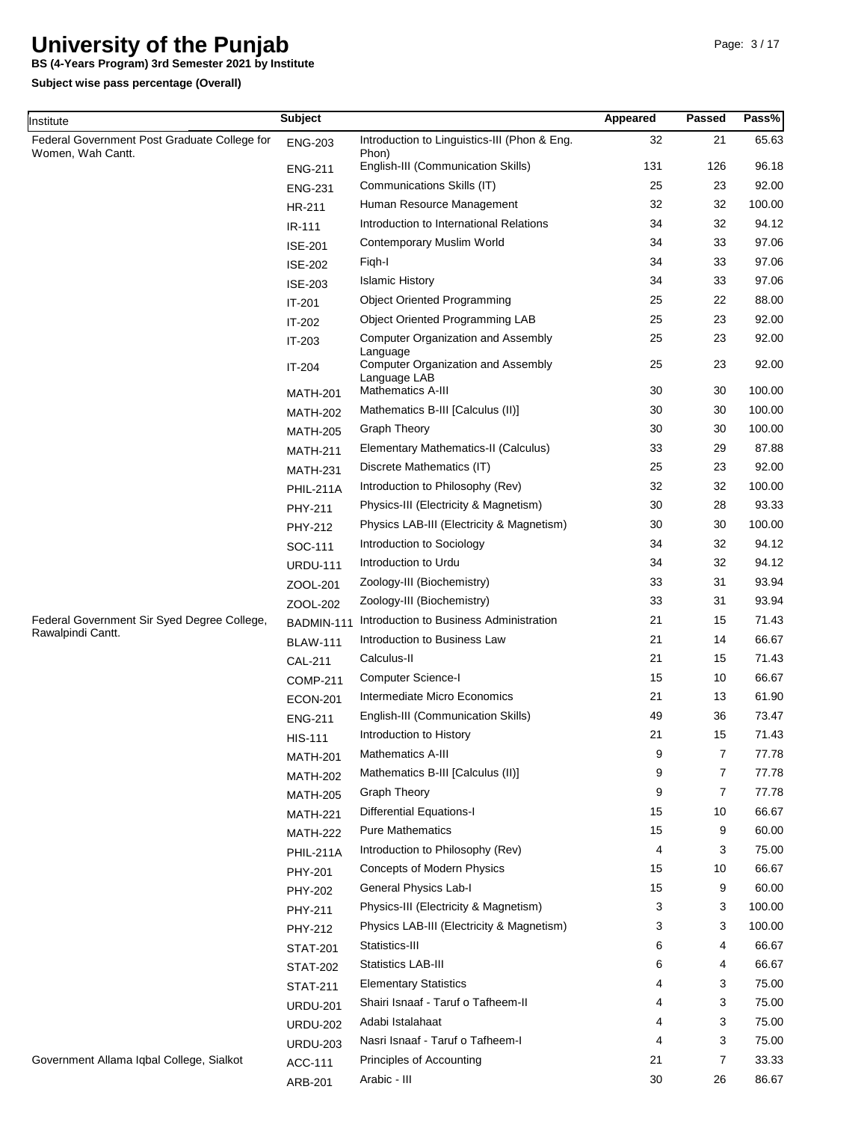**BS (4-Years Program) 3rd Semester 2021 by Institute**

| Institute                                                         | <b>Subject</b>   |                                                           | Appeared | Passed         | Pass%  |
|-------------------------------------------------------------------|------------------|-----------------------------------------------------------|----------|----------------|--------|
| Federal Government Post Graduate College for<br>Women, Wah Cantt. | <b>ENG-203</b>   | Introduction to Linguistics-III (Phon & Eng.<br>Phon)     | 32       | 21             | 65.63  |
|                                                                   | <b>ENG-211</b>   | English-III (Communication Skills)                        | 131      | 126            | 96.18  |
|                                                                   | <b>ENG-231</b>   | Communications Skills (IT)                                | 25       | 23             | 92.00  |
|                                                                   | HR-211           | Human Resource Management                                 | 32       | 32             | 100.00 |
|                                                                   | IR-111           | Introduction to International Relations                   | 34       | 32             | 94.12  |
|                                                                   | <b>ISE-201</b>   | Contemporary Muslim World                                 | 34       | 33             | 97.06  |
|                                                                   | <b>ISE-202</b>   | Figh-I                                                    | 34       | 33             | 97.06  |
|                                                                   | <b>ISE-203</b>   | <b>Islamic History</b>                                    | 34       | 33             | 97.06  |
|                                                                   | IT-201           | <b>Object Oriented Programming</b>                        | 25       | 22             | 88.00  |
|                                                                   | IT-202           | Object Oriented Programming LAB                           | 25       | 23             | 92.00  |
|                                                                   | IT-203           | <b>Computer Organization and Assembly</b><br>Language     | 25       | 23             | 92.00  |
|                                                                   | IT-204           | <b>Computer Organization and Assembly</b><br>Language LAB | 25       | 23             | 92.00  |
|                                                                   | <b>MATH-201</b>  | Mathematics A-III                                         | 30       | 30             | 100.00 |
|                                                                   | <b>MATH-202</b>  | Mathematics B-III [Calculus (II)]                         | 30       | 30             | 100.00 |
|                                                                   | <b>MATH-205</b>  | <b>Graph Theory</b>                                       | 30       | 30             | 100.00 |
|                                                                   | <b>MATH-211</b>  | Elementary Mathematics-II (Calculus)                      | 33       | 29             | 87.88  |
|                                                                   | <b>MATH-231</b>  | Discrete Mathematics (IT)                                 | 25       | 23             | 92.00  |
|                                                                   | <b>PHIL-211A</b> | Introduction to Philosophy (Rev)                          | 32       | 32             | 100.00 |
|                                                                   | PHY-211          | Physics-III (Electricity & Magnetism)                     | 30       | 28             | 93.33  |
|                                                                   | PHY-212          | Physics LAB-III (Electricity & Magnetism)                 | 30       | 30             | 100.00 |
|                                                                   | SOC-111          | Introduction to Sociology                                 | 34       | 32             | 94.12  |
|                                                                   | <b>URDU-111</b>  | Introduction to Urdu                                      | 34       | 32             | 94.12  |
|                                                                   | ZOOL-201         | Zoology-III (Biochemistry)                                | 33       | 31             | 93.94  |
|                                                                   | ZOOL-202         | Zoology-III (Biochemistry)                                | 33       | 31             | 93.94  |
| Federal Government Sir Syed Degree College,                       | BADMIN-111       | Introduction to Business Administration                   | 21       | 15             | 71.43  |
| Rawalpindi Cantt.                                                 | <b>BLAW-111</b>  | Introduction to Business Law                              | 21       | 14             | 66.67  |
|                                                                   | <b>CAL-211</b>   | Calculus-II                                               | 21       | 15             | 71.43  |
|                                                                   | <b>COMP-211</b>  | Computer Science-I                                        | 15       | 10             | 66.67  |
|                                                                   | <b>ECON-201</b>  | Intermediate Micro Economics                              | 21       | 13             | 61.90  |
|                                                                   | <b>ENG-211</b>   | English-III (Communication Skills)                        | 49       | 36             | 73.47  |
|                                                                   | <b>HIS-111</b>   | Introduction to History                                   | 21       | 15             | 71.43  |
|                                                                   | <b>MATH-201</b>  | <b>Mathematics A-III</b>                                  | 9        | 7              | 77.78  |
|                                                                   | <b>MATH-202</b>  | Mathematics B-III [Calculus (II)]                         | 9        | $\overline{7}$ | 77.78  |
|                                                                   | <b>MATH-205</b>  | <b>Graph Theory</b>                                       | 9        | 7              | 77.78  |
|                                                                   | <b>MATH-221</b>  | <b>Differential Equations-I</b>                           | 15       | 10             | 66.67  |
|                                                                   | <b>MATH-222</b>  | <b>Pure Mathematics</b>                                   | 15       | 9              | 60.00  |
|                                                                   | <b>PHIL-211A</b> | Introduction to Philosophy (Rev)                          | 4        | 3              | 75.00  |
|                                                                   | <b>PHY-201</b>   | Concepts of Modern Physics                                | 15       | 10             | 66.67  |
|                                                                   | PHY-202          | General Physics Lab-I                                     | 15       | 9              | 60.00  |
|                                                                   | PHY-211          | Physics-III (Electricity & Magnetism)                     | 3        | 3              | 100.00 |
|                                                                   | PHY-212          | Physics LAB-III (Electricity & Magnetism)                 | 3        | 3              | 100.00 |
|                                                                   | <b>STAT-201</b>  | Statistics-III                                            | 6        | 4              | 66.67  |
|                                                                   | <b>STAT-202</b>  | Statistics LAB-III                                        | 6        | 4              | 66.67  |
|                                                                   | <b>STAT-211</b>  | <b>Elementary Statistics</b>                              | 4        | 3              | 75.00  |
|                                                                   | <b>URDU-201</b>  | Shairi Isnaaf - Taruf o Tafheem-II                        | 4        | 3              | 75.00  |
|                                                                   | <b>URDU-202</b>  | Adabi Istalahaat                                          | 4        | 3              | 75.00  |
|                                                                   | <b>URDU-203</b>  | Nasri Isnaaf - Taruf o Tafheem-I                          | 4        | 3              | 75.00  |
| Government Allama Iqbal College, Sialkot                          | ACC-111          | Principles of Accounting                                  | 21       | 7              | 33.33  |
|                                                                   | ARB-201          | Arabic - III                                              | 30       | 26             | 86.67  |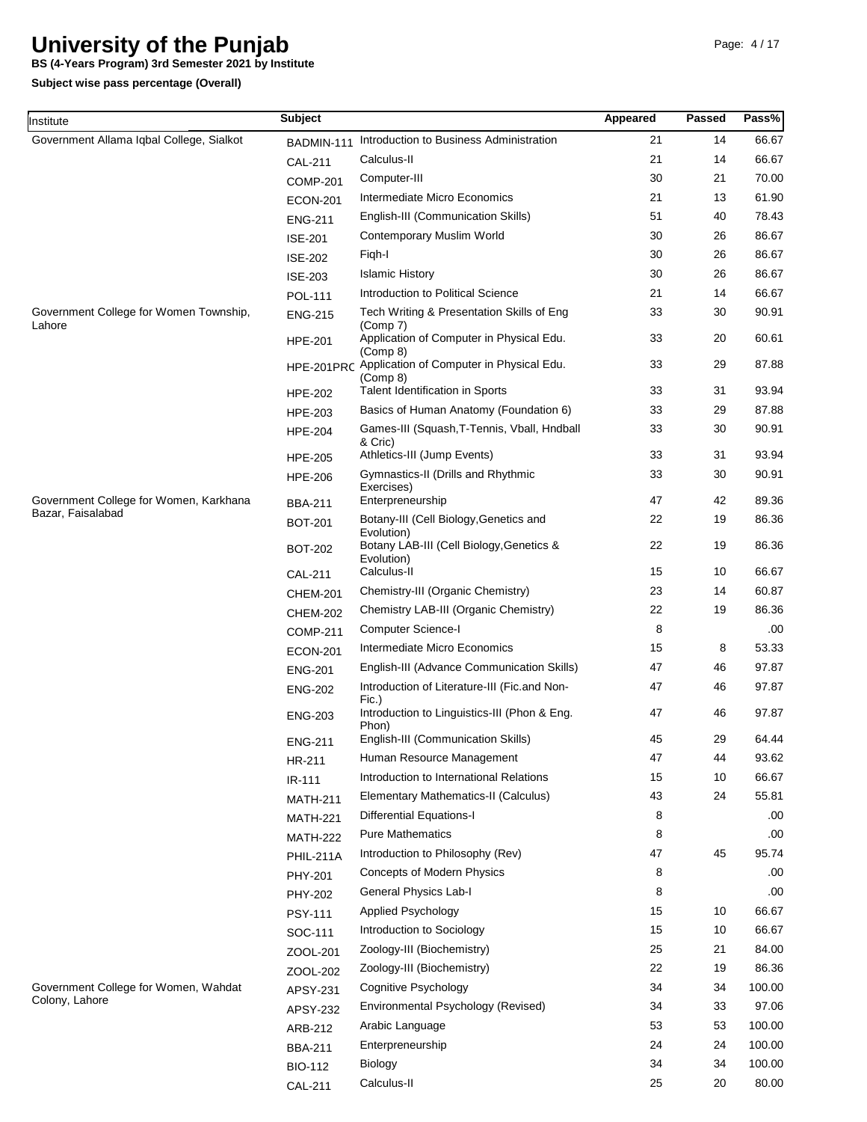**BS (4-Years Program) 3rd Semester 2021 by Institute**

**Subject wise pass percentage (Overall)**

| nstitute                                                    | <b>Subject</b>                      |                                                                                                  | Appeared | <b>Passed</b> | Pass%          |
|-------------------------------------------------------------|-------------------------------------|--------------------------------------------------------------------------------------------------|----------|---------------|----------------|
| Government Allama Iqbal College, Sialkot                    | BADMIN-111                          | Introduction to Business Administration                                                          | 21       | 14            | 66.67          |
|                                                             | <b>CAL-211</b>                      | Calculus-II                                                                                      | 21       | 14            | 66.67          |
|                                                             | <b>COMP-201</b>                     | Computer-III                                                                                     | 30       | 21            | 70.00          |
|                                                             | <b>ECON-201</b>                     | Intermediate Micro Economics                                                                     | 21       | 13            | 61.90          |
|                                                             | <b>ENG-211</b>                      | English-III (Communication Skills)                                                               | 51       | 40            | 78.43          |
|                                                             | <b>ISE-201</b>                      | Contemporary Muslim World                                                                        | 30       | 26            | 86.67          |
|                                                             | <b>ISE-202</b>                      | Figh-I                                                                                           | 30       | 26            | 86.67          |
|                                                             | <b>ISE-203</b>                      | <b>Islamic History</b>                                                                           | 30       | 26            | 86.67          |
|                                                             | <b>POL-111</b>                      | Introduction to Political Science                                                                | 21       | 14            | 66.67          |
| Government College for Women Township,                      | <b>ENG-215</b>                      | Tech Writing & Presentation Skills of Eng                                                        | 33       | 30            | 90.91          |
| Lahore                                                      | <b>HPE-201</b>                      | (Comp 7)<br>Application of Computer in Physical Edu.                                             | 33       | 20            | 60.61          |
|                                                             | HPE-201PRC                          | (Comp 8)<br>Application of Computer in Physical Edu.<br>(Comp 8)                                 | 33       | 29            | 87.88          |
|                                                             | <b>HPE-202</b>                      | Talent Identification in Sports                                                                  | 33       | 31            | 93.94          |
|                                                             | <b>HPE-203</b>                      | Basics of Human Anatomy (Foundation 6)                                                           | 33       | 29            | 87.88          |
|                                                             | <b>HPE-204</b>                      | Games-III (Squash, T-Tennis, Vball, Hndball<br>& Cric)                                           | 33       | 30            | 90.91          |
|                                                             | <b>HPE-205</b>                      | Athletics-III (Jump Events)                                                                      | 33       | 31            | 93.94          |
|                                                             | <b>HPE-206</b>                      | Gymnastics-II (Drills and Rhythmic<br>Exercises)                                                 | 33       | 30            | 90.91          |
| Government College for Women, Karkhana<br>Bazar, Faisalabad | <b>BBA-211</b>                      | Enterpreneurship                                                                                 | 47       | 42            | 89.36          |
|                                                             | <b>BOT-201</b>                      | Botany-III (Cell Biology, Genetics and<br>Evolution)<br>Botany LAB-III (Cell Biology, Genetics & | 22<br>22 | 19<br>19      | 86.36<br>86.36 |
|                                                             | <b>BOT-202</b>                      | Evolution)<br>Calculus-II                                                                        | 15       | 10            | 66.67          |
|                                                             | <b>CAL-211</b>                      | Chemistry-III (Organic Chemistry)                                                                | 23       | 14            | 60.87          |
|                                                             | <b>CHEM-201</b>                     | Chemistry LAB-III (Organic Chemistry)                                                            | 22       | 19            | 86.36          |
|                                                             | <b>CHEM-202</b>                     | <b>Computer Science-I</b>                                                                        | 8        |               | .00            |
|                                                             | <b>COMP-211</b>                     | Intermediate Micro Economics                                                                     | 15       | 8             | 53.33          |
|                                                             | <b>ECON-201</b>                     | English-III (Advance Communication Skills)                                                       | 47       | 46            | 97.87          |
|                                                             | <b>ENG-201</b>                      | Introduction of Literature-III (Fic.and Non-                                                     | 47       | 46            | 97.87          |
|                                                             | <b>ENG-202</b><br><b>ENG-203</b>    | Fic.)<br>Introduction to Linguistics-III (Phon & Eng.                                            | 47       | 46            | 97.87          |
|                                                             |                                     | Phon)<br>English-III (Communication Skills)                                                      | 45       | 29            | 64.44          |
|                                                             | <b>ENG-211</b>                      | Human Resource Management                                                                        | 47       | 44            | 93.62          |
|                                                             | HR-211                              | Introduction to International Relations                                                          | 15       | 10            | 66.67          |
|                                                             | IR-111                              | Elementary Mathematics-II (Calculus)                                                             | 43       | 24            | 55.81          |
|                                                             | <b>MATH-211</b>                     | <b>Differential Equations-I</b>                                                                  | 8        |               | .00.           |
|                                                             | <b>MATH-221</b>                     | <b>Pure Mathematics</b>                                                                          | 8        |               | .00            |
|                                                             | <b>MATH-222</b><br><b>PHIL-211A</b> | Introduction to Philosophy (Rev)                                                                 | 47       | 45            | 95.74          |
|                                                             | PHY-201                             | Concepts of Modern Physics                                                                       | 8        |               | .00            |
|                                                             |                                     | General Physics Lab-I                                                                            | 8        |               | .00            |
|                                                             | PHY-202                             | Applied Psychology                                                                               | 15       | 10            | 66.67          |
|                                                             | <b>PSY-111</b>                      | Introduction to Sociology                                                                        | 15       | 10            | 66.67          |
|                                                             | SOC-111                             | Zoology-III (Biochemistry)                                                                       | 25       | 21            | 84.00          |
|                                                             | ZOOL-201                            | Zoology-III (Biochemistry)                                                                       | 22       | 19            | 86.36          |
| Government College for Women, Wahdat                        | ZOOL-202                            | Cognitive Psychology                                                                             | 34       | 34            | 100.00         |
| Colony, Lahore                                              | APSY-231                            | Environmental Psychology (Revised)                                                               | 34       | 33            | 97.06          |
|                                                             | APSY-232                            | Arabic Language                                                                                  | 53       | 53            | 100.00         |
|                                                             | ARB-212                             | Enterpreneurship                                                                                 | 24       | 24            | 100.00         |
|                                                             | <b>BBA-211</b>                      | Biology                                                                                          | 34       | 34            | 100.00         |
|                                                             | <b>BIO-112</b>                      | Calculus-II                                                                                      | 25       | 20            | 80.00          |
|                                                             | <b>CAL-211</b>                      |                                                                                                  |          |               |                |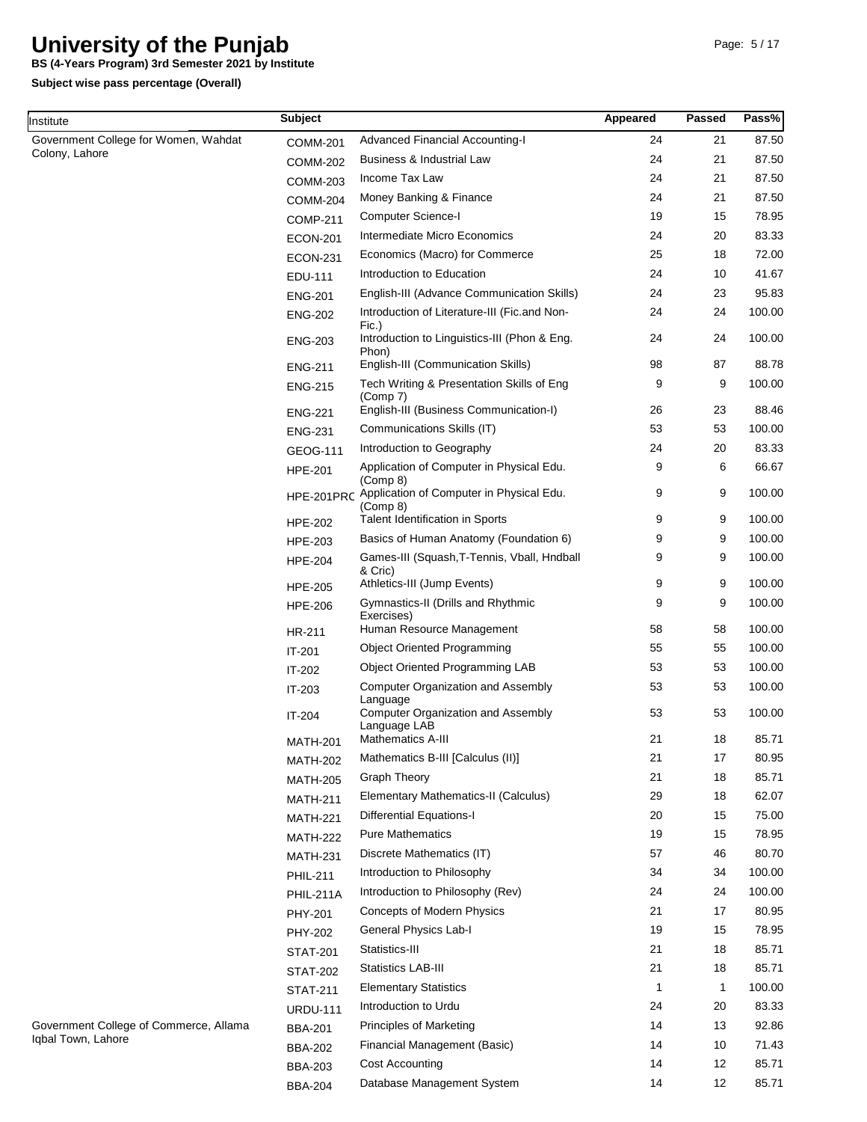**BS (4-Years Program) 3rd Semester 2021 by Institute**

**Subject**

**Subject wise pass percentage (Overall)**

Institute

**Passed**

**Pass%**

**Appeared**

| Government College for Women, Wahdat   | <b>COMM-201</b>  | Advanced Financial Accounting-I                           | 24 | 21 | 87.50  |
|----------------------------------------|------------------|-----------------------------------------------------------|----|----|--------|
| Colony, Lahore                         | <b>COMM-202</b>  | Business & Industrial Law                                 | 24 | 21 | 87.50  |
|                                        | <b>COMM-203</b>  | Income Tax Law                                            | 24 | 21 | 87.50  |
|                                        | <b>COMM-204</b>  | Money Banking & Finance                                   | 24 | 21 | 87.50  |
|                                        | <b>COMP-211</b>  | Computer Science-I                                        | 19 | 15 | 78.95  |
|                                        | <b>ECON-201</b>  | Intermediate Micro Economics                              | 24 | 20 | 83.33  |
|                                        | <b>ECON-231</b>  | Economics (Macro) for Commerce                            | 25 | 18 | 72.00  |
|                                        | EDU-111          | Introduction to Education                                 | 24 | 10 | 41.67  |
|                                        | <b>ENG-201</b>   | English-III (Advance Communication Skills)                | 24 | 23 | 95.83  |
|                                        | <b>ENG-202</b>   | Introduction of Literature-III (Fic.and Non-<br>Fic.)     | 24 | 24 | 100.00 |
|                                        | <b>ENG-203</b>   | Introduction to Linguistics-III (Phon & Eng.<br>Phon)     | 24 | 24 | 100.00 |
|                                        | <b>ENG-211</b>   | English-III (Communication Skills)                        | 98 | 87 | 88.78  |
|                                        | <b>ENG-215</b>   | Tech Writing & Presentation Skills of Eng<br>(Comp 7)     | 9  | 9  | 100.00 |
|                                        | <b>ENG-221</b>   | English-III (Business Communication-I)                    | 26 | 23 | 88.46  |
|                                        | <b>ENG-231</b>   | Communications Skills (IT)                                | 53 | 53 | 100.00 |
|                                        | GEOG-111         | Introduction to Geography                                 | 24 | 20 | 83.33  |
|                                        | <b>HPE-201</b>   | Application of Computer in Physical Edu.<br>(Comp 8)      | 9  | 6  | 66.67  |
|                                        | HPE-201PRC       | Application of Computer in Physical Edu.<br>(Comp 8)      | 9  | 9  | 100.00 |
|                                        | <b>HPE-202</b>   | Talent Identification in Sports                           | 9  | 9  | 100.00 |
|                                        | HPE-203          | Basics of Human Anatomy (Foundation 6)                    | 9  | 9  | 100.00 |
|                                        | <b>HPE-204</b>   | Games-III (Squash, T-Tennis, Vball, Hndball<br>& Cric)    | 9  | 9  | 100.00 |
|                                        | <b>HPE-205</b>   | Athletics-III (Jump Events)                               | 9  | 9  | 100.00 |
|                                        | <b>HPE-206</b>   | Gymnastics-II (Drills and Rhythmic<br>Exercises)          | 9  | 9  | 100.00 |
|                                        | HR-211           | Human Resource Management                                 | 58 | 58 | 100.00 |
|                                        | IT-201           | <b>Object Oriented Programming</b>                        | 55 | 55 | 100.00 |
|                                        | IT-202           | Object Oriented Programming LAB                           | 53 | 53 | 100.00 |
|                                        | IT-203           | <b>Computer Organization and Assembly</b><br>Language     | 53 | 53 | 100.00 |
|                                        | IT-204           | <b>Computer Organization and Assembly</b><br>Language LAB | 53 | 53 | 100.00 |
|                                        | <b>MATH-201</b>  | <b>Mathematics A-III</b>                                  | 21 | 18 | 85.71  |
|                                        | <b>MATH-202</b>  | Mathematics B-III [Calculus (II)]                         | 21 | 17 | 80.95  |
|                                        | <b>MATH-205</b>  | <b>Graph Theory</b>                                       | 21 | 18 | 85.71  |
|                                        | <b>MATH-211</b>  | Elementary Mathematics-II (Calculus)                      | 29 | 18 | 62.07  |
|                                        | <b>MATH-221</b>  | <b>Differential Equations-I</b>                           | 20 | 15 | 75.00  |
|                                        | <b>MATH-222</b>  | <b>Pure Mathematics</b>                                   | 19 | 15 | 78.95  |
|                                        | <b>MATH-231</b>  | Discrete Mathematics (IT)                                 | 57 | 46 | 80.70  |
|                                        | <b>PHIL-211</b>  | Introduction to Philosophy                                | 34 | 34 | 100.00 |
|                                        | <b>PHIL-211A</b> | Introduction to Philosophy (Rev)                          | 24 | 24 | 100.00 |
|                                        | PHY-201          | Concepts of Modern Physics                                | 21 | 17 | 80.95  |
|                                        | <b>PHY-202</b>   | General Physics Lab-I                                     | 19 | 15 | 78.95  |
|                                        | <b>STAT-201</b>  | Statistics-III                                            | 21 | 18 | 85.71  |
|                                        | <b>STAT-202</b>  | <b>Statistics LAB-III</b>                                 | 21 | 18 | 85.71  |
|                                        | <b>STAT-211</b>  | <b>Elementary Statistics</b>                              | 1  | 1  | 100.00 |
|                                        | <b>URDU-111</b>  | Introduction to Urdu                                      | 24 | 20 | 83.33  |
| Government College of Commerce, Allama | <b>BBA-201</b>   | <b>Principles of Marketing</b>                            | 14 | 13 | 92.86  |
| Iqbal Town, Lahore                     | <b>BBA-202</b>   | Financial Management (Basic)                              | 14 | 10 | 71.43  |
|                                        | <b>BBA-203</b>   | <b>Cost Accounting</b>                                    | 14 | 12 | 85.71  |
|                                        |                  |                                                           |    |    |        |

Database Management System

BBA-204

14

12

85.71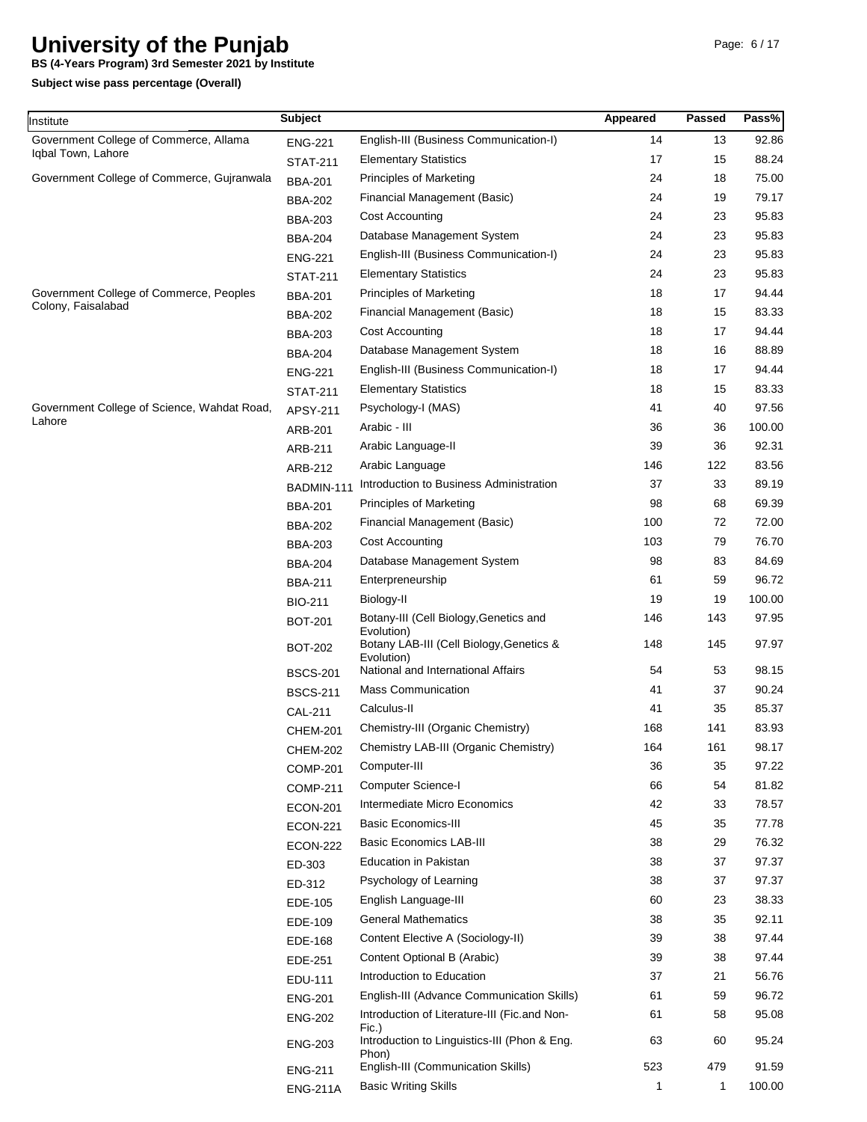**BS (4-Years Program) 3rd Semester 2021 by Institute**

| nstitute                                    | <b>Subject</b>  |                                                                      | Appeared | Passed | Pass%  |
|---------------------------------------------|-----------------|----------------------------------------------------------------------|----------|--------|--------|
| Government College of Commerce, Allama      | <b>ENG-221</b>  | English-III (Business Communication-I)                               | 14       | 13     | 92.86  |
| Iqbal Town, Lahore                          | <b>STAT-211</b> | <b>Elementary Statistics</b>                                         | 17       | 15     | 88.24  |
| Government College of Commerce, Gujranwala  | <b>BBA-201</b>  | <b>Principles of Marketing</b>                                       | 24       | 18     | 75.00  |
|                                             | <b>BBA-202</b>  | Financial Management (Basic)                                         | 24       | 19     | 79.17  |
|                                             | <b>BBA-203</b>  | <b>Cost Accounting</b>                                               | 24       | 23     | 95.83  |
|                                             | <b>BBA-204</b>  | Database Management System                                           | 24       | 23     | 95.83  |
|                                             | <b>ENG-221</b>  | English-III (Business Communication-I)                               | 24       | 23     | 95.83  |
|                                             | <b>STAT-211</b> | <b>Elementary Statistics</b>                                         | 24       | 23     | 95.83  |
| Government College of Commerce, Peoples     | <b>BBA-201</b>  | <b>Principles of Marketing</b>                                       | 18       | 17     | 94.44  |
| Colony, Faisalabad                          | <b>BBA-202</b>  | Financial Management (Basic)                                         | 18       | 15     | 83.33  |
|                                             | <b>BBA-203</b>  | <b>Cost Accounting</b>                                               | 18       | 17     | 94.44  |
|                                             | <b>BBA-204</b>  | Database Management System                                           | 18       | 16     | 88.89  |
|                                             | <b>ENG-221</b>  | English-III (Business Communication-I)                               | 18       | 17     | 94.44  |
|                                             | <b>STAT-211</b> | <b>Elementary Statistics</b>                                         | 18       | 15     | 83.33  |
| Government College of Science, Wahdat Road, | APSY-211        | Psychology-I (MAS)                                                   | 41       | 40     | 97.56  |
| Lahore                                      | ARB-201         | Arabic - III                                                         | 36       | 36     | 100.00 |
|                                             | <b>ARB-211</b>  | Arabic Language-II                                                   | 39       | 36     | 92.31  |
|                                             | ARB-212         | Arabic Language                                                      | 146      | 122    | 83.56  |
|                                             | BADMIN-111      | Introduction to Business Administration                              | 37       | 33     | 89.19  |
|                                             | <b>BBA-201</b>  | <b>Principles of Marketing</b>                                       | 98       | 68     | 69.39  |
|                                             | <b>BBA-202</b>  | Financial Management (Basic)                                         | 100      | 72     | 72.00  |
|                                             | <b>BBA-203</b>  | <b>Cost Accounting</b>                                               | 103      | 79     | 76.70  |
|                                             | <b>BBA-204</b>  | Database Management System                                           | 98       | 83     | 84.69  |
|                                             | <b>BBA-211</b>  | Enterpreneurship                                                     | 61       | 59     | 96.72  |
|                                             | <b>BIO-211</b>  | Biology-II                                                           | 19       | 19     | 100.00 |
|                                             | <b>BOT-201</b>  | Botany-III (Cell Biology, Genetics and                               | 146      | 143    | 97.95  |
|                                             | <b>BOT-202</b>  | Evolution)<br>Botany LAB-III (Cell Biology, Genetics &<br>Evolution) | 148      | 145    | 97.97  |
|                                             | <b>BSCS-201</b> | National and International Affairs                                   | 54       | 53     | 98.15  |
|                                             | <b>BSCS-211</b> | <b>Mass Communication</b>                                            | 41       | 37     | 90.24  |
|                                             | <b>CAL-211</b>  | Calculus-II                                                          | 41       | 35     | 85.37  |
|                                             | <b>CHEM-201</b> | Chemistry-III (Organic Chemistry)                                    | 168      | 141    | 83.93  |
|                                             | CHEM-202        | Chemistry LAB-III (Organic Chemistry)                                | 164      | 161    | 98.17  |
|                                             | <b>COMP-201</b> | Computer-III                                                         | 36       | 35     | 97.22  |
|                                             | <b>COMP-211</b> | <b>Computer Science-I</b>                                            | 66       | 54     | 81.82  |
|                                             | <b>ECON-201</b> | Intermediate Micro Economics                                         | 42       | 33     | 78.57  |
|                                             | <b>ECON-221</b> | <b>Basic Economics-III</b>                                           | 45       | 35     | 77.78  |
|                                             | <b>ECON-222</b> | <b>Basic Economics LAB-III</b>                                       | 38       | 29     | 76.32  |
|                                             | ED-303          | <b>Education in Pakistan</b>                                         | 38       | 37     | 97.37  |
|                                             | ED-312          | Psychology of Learning                                               | 38       | 37     | 97.37  |
|                                             | EDE-105         | English Language-III                                                 | 60       | 23     | 38.33  |
|                                             | EDE-109         | <b>General Mathematics</b>                                           | 38       | 35     | 92.11  |
|                                             | EDE-168         | Content Elective A (Sociology-II)                                    | 39       | 38     | 97.44  |
|                                             | EDE-251         | Content Optional B (Arabic)                                          | 39       | 38     | 97.44  |
|                                             | EDU-111         | Introduction to Education                                            | 37       | 21     | 56.76  |
|                                             | <b>ENG-201</b>  | English-III (Advance Communication Skills)                           | 61       | 59     | 96.72  |
|                                             | <b>ENG-202</b>  | Introduction of Literature-III (Fic.and Non-<br>Fic.)                | 61       | 58     | 95.08  |
|                                             | <b>ENG-203</b>  | Introduction to Linguistics-III (Phon & Eng.<br>Phon)                | 63       | 60     | 95.24  |
|                                             | <b>ENG-211</b>  | English-III (Communication Skills)                                   | 523      | 479    | 91.59  |
|                                             | <b>ENG-211A</b> | <b>Basic Writing Skills</b>                                          | 1        | 1      | 100.00 |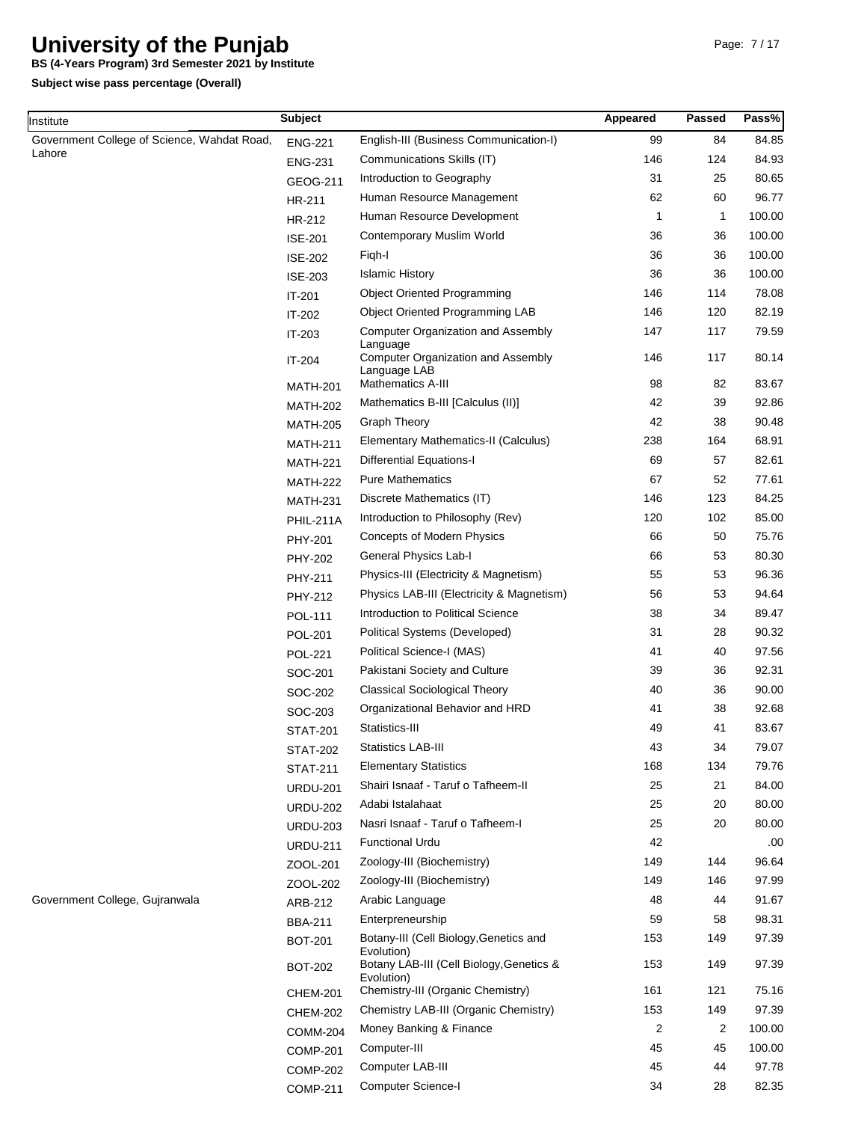**BS (4-Years Program) 3rd Semester 2021 by Institute**

| Institute                                   | <b>Subject</b>  |                                                                       | Appeared | Passed      | Pass%  |
|---------------------------------------------|-----------------|-----------------------------------------------------------------------|----------|-------------|--------|
| Government College of Science, Wahdat Road, | <b>ENG-221</b>  | English-III (Business Communication-I)                                | 99       | 84          | 84.85  |
| Lahore                                      | <b>ENG-231</b>  | Communications Skills (IT)                                            | 146      | 124         | 84.93  |
|                                             | GEOG-211        | Introduction to Geography                                             | 31       | 25          | 80.65  |
|                                             | HR-211          | Human Resource Management                                             | 62       | 60          | 96.77  |
|                                             | HR-212          | Human Resource Development                                            | 1        | $\mathbf 1$ | 100.00 |
|                                             | <b>ISE-201</b>  | Contemporary Muslim World                                             | 36       | 36          | 100.00 |
|                                             | <b>ISE-202</b>  | Figh-I                                                                | 36       | 36          | 100.00 |
|                                             | <b>ISE-203</b>  | <b>Islamic History</b>                                                | 36       | 36          | 100.00 |
|                                             | IT-201          | <b>Object Oriented Programming</b>                                    | 146      | 114         | 78.08  |
|                                             | IT-202          | <b>Object Oriented Programming LAB</b>                                | 146      | 120         | 82.19  |
|                                             | IT-203          | <b>Computer Organization and Assembly</b>                             | 147      | 117         | 79.59  |
|                                             | IT-204          | Language<br><b>Computer Organization and Assembly</b><br>Language LAB | 146      | 117         | 80.14  |
|                                             | <b>MATH-201</b> | Mathematics A-III                                                     | 98       | 82          | 83.67  |
|                                             | <b>MATH-202</b> | Mathematics B-III [Calculus (II)]                                     | 42       | 39          | 92.86  |
|                                             | <b>MATH-205</b> | <b>Graph Theory</b>                                                   | 42       | 38          | 90.48  |
|                                             | <b>MATH-211</b> | Elementary Mathematics-II (Calculus)                                  | 238      | 164         | 68.91  |
|                                             | <b>MATH-221</b> | <b>Differential Equations-I</b>                                       | 69       | 57          | 82.61  |
|                                             | <b>MATH-222</b> | <b>Pure Mathematics</b>                                               | 67       | 52          | 77.61  |
|                                             | <b>MATH-231</b> | Discrete Mathematics (IT)                                             | 146      | 123         | 84.25  |
|                                             | PHIL-211A       | Introduction to Philosophy (Rev)                                      | 120      | 102         | 85.00  |
|                                             | PHY-201         | Concepts of Modern Physics                                            | 66       | 50          | 75.76  |
|                                             | PHY-202         | General Physics Lab-I                                                 | 66       | 53          | 80.30  |
|                                             | PHY-211         | Physics-III (Electricity & Magnetism)                                 | 55       | 53          | 96.36  |
|                                             | PHY-212         | Physics LAB-III (Electricity & Magnetism)                             | 56       | 53          | 94.64  |
|                                             | <b>POL-111</b>  | Introduction to Political Science                                     | 38       | 34          | 89.47  |
|                                             | <b>POL-201</b>  | Political Systems (Developed)                                         | 31       | 28          | 90.32  |
|                                             | <b>POL-221</b>  | Political Science-I (MAS)                                             | 41       | 40          | 97.56  |
|                                             | SOC-201         | Pakistani Society and Culture                                         | 39       | 36          | 92.31  |
|                                             | SOC-202         | <b>Classical Sociological Theory</b>                                  | 40       | 36          | 90.00  |
|                                             | SOC-203         | Organizational Behavior and HRD                                       | 41       | 38          | 92.68  |
|                                             | <b>STAT-201</b> | Statistics-III                                                        | 49       | 41          | 83.67  |
|                                             | <b>STAT-202</b> | <b>Statistics LAB-III</b>                                             | 43       | 34          | 79.07  |
|                                             | <b>STAT-211</b> | <b>Elementary Statistics</b>                                          | 168      | 134         | 79.76  |
|                                             | <b>URDU-201</b> | Shairi Isnaaf - Taruf o Tafheem-II                                    | 25       | 21          | 84.00  |
|                                             | <b>URDU-202</b> | Adabi Istalahaat                                                      | 25       | 20          | 80.00  |
|                                             | <b>URDU-203</b> | Nasri Isnaaf - Taruf o Tafheem-I                                      | 25       | 20          | 80.00  |
|                                             | <b>URDU-211</b> | <b>Functional Urdu</b>                                                | 42       |             | .00    |
|                                             | ZOOL-201        | Zoology-III (Biochemistry)                                            | 149      | 144         | 96.64  |
|                                             | ZOOL-202        | Zoology-III (Biochemistry)                                            | 149      | 146         | 97.99  |
| Government College, Gujranwala              | ARB-212         | Arabic Language                                                       | 48       | 44          | 91.67  |
|                                             | <b>BBA-211</b>  | Enterpreneurship                                                      | 59       | 58          | 98.31  |
|                                             | <b>BOT-201</b>  | Botany-III (Cell Biology, Genetics and                                | 153      | 149         | 97.39  |
|                                             | <b>BOT-202</b>  | Evolution)<br>Botany LAB-III (Cell Biology, Genetics &<br>Evolution)  | 153      | 149         | 97.39  |
|                                             | <b>CHEM-201</b> | Chemistry-III (Organic Chemistry)                                     | 161      | 121         | 75.16  |
|                                             | <b>CHEM-202</b> | Chemistry LAB-III (Organic Chemistry)                                 | 153      | 149         | 97.39  |
|                                             | <b>COMM-204</b> | Money Banking & Finance                                               | 2        | 2           | 100.00 |
|                                             | <b>COMP-201</b> | Computer-III                                                          | 45       | 45          | 100.00 |
|                                             | <b>COMP-202</b> | Computer LAB-III                                                      | 45       | 44          | 97.78  |
|                                             | <b>COMP-211</b> | <b>Computer Science-I</b>                                             | 34       | 28          | 82.35  |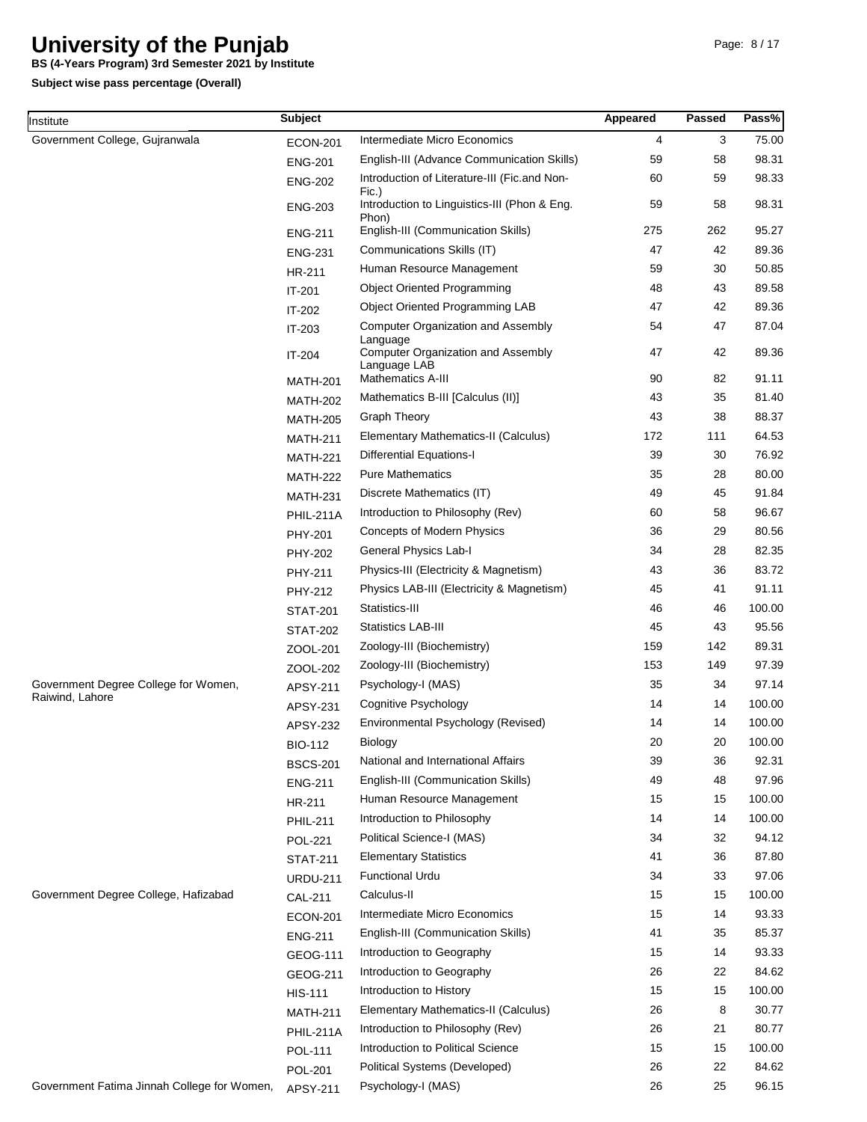**BS (4-Years Program) 3rd Semester 2021 by Institute**

| Institute                                               | <b>Subject</b>  |                                                           | Appeared | Passed | Pass%  |
|---------------------------------------------------------|-----------------|-----------------------------------------------------------|----------|--------|--------|
| Government College, Gujranwala                          | <b>ECON-201</b> | Intermediate Micro Economics                              | 4        | 3      | 75.00  |
|                                                         | <b>ENG-201</b>  | English-III (Advance Communication Skills)                | 59       | 58     | 98.31  |
|                                                         | <b>ENG-202</b>  | Introduction of Literature-III (Fic.and Non-<br>Fic.)     | 60       | 59     | 98.33  |
|                                                         | <b>ENG-203</b>  | Introduction to Linguistics-III (Phon & Eng.<br>Phon)     | 59       | 58     | 98.31  |
|                                                         | <b>ENG-211</b>  | English-III (Communication Skills)                        | 275      | 262    | 95.27  |
|                                                         | <b>ENG-231</b>  | Communications Skills (IT)                                | 47       | 42     | 89.36  |
|                                                         | HR-211          | Human Resource Management                                 | 59       | 30     | 50.85  |
|                                                         | IT-201          | <b>Object Oriented Programming</b>                        | 48       | 43     | 89.58  |
|                                                         | IT-202          | Object Oriented Programming LAB                           | 47       | 42     | 89.36  |
|                                                         | IT-203          | <b>Computer Organization and Assembly</b><br>Language     | 54       | 47     | 87.04  |
|                                                         | IT-204          | <b>Computer Organization and Assembly</b><br>Language LAB | 47       | 42     | 89.36  |
|                                                         | <b>MATH-201</b> | <b>Mathematics A-III</b>                                  | 90       | 82     | 91.11  |
|                                                         | <b>MATH-202</b> | Mathematics B-III [Calculus (II)]                         | 43       | 35     | 81.40  |
|                                                         | <b>MATH-205</b> | <b>Graph Theory</b>                                       | 43       | 38     | 88.37  |
|                                                         | <b>MATH-211</b> | Elementary Mathematics-II (Calculus)                      | 172      | 111    | 64.53  |
|                                                         | <b>MATH-221</b> | <b>Differential Equations-I</b>                           | 39       | 30     | 76.92  |
|                                                         | <b>MATH-222</b> | <b>Pure Mathematics</b>                                   | 35       | 28     | 80.00  |
|                                                         | <b>MATH-231</b> | Discrete Mathematics (IT)                                 | 49       | 45     | 91.84  |
|                                                         | PHIL-211A       | Introduction to Philosophy (Rev)                          | 60       | 58     | 96.67  |
|                                                         | PHY-201         | <b>Concepts of Modern Physics</b>                         | 36       | 29     | 80.56  |
|                                                         | <b>PHY-202</b>  | General Physics Lab-I                                     | 34       | 28     | 82.35  |
|                                                         | PHY-211         | Physics-III (Electricity & Magnetism)                     | 43       | 36     | 83.72  |
|                                                         | PHY-212         | Physics LAB-III (Electricity & Magnetism)                 | 45       | 41     | 91.11  |
|                                                         | <b>STAT-201</b> | Statistics-III                                            | 46       | 46     | 100.00 |
|                                                         | <b>STAT-202</b> | <b>Statistics LAB-III</b>                                 | 45       | 43     | 95.56  |
|                                                         | ZOOL-201        | Zoology-III (Biochemistry)                                | 159      | 142    | 89.31  |
|                                                         | ZOOL-202        | Zoology-III (Biochemistry)                                | 153      | 149    | 97.39  |
| Government Degree College for Women,<br>Raiwind, Lahore | APSY-211        | Psychology-I (MAS)                                        | 35       | 34     | 97.14  |
|                                                         | APSY-231        | Cognitive Psychology                                      | 14       | 14     | 100.00 |
|                                                         | <b>APSY-232</b> | Environmental Psychology (Revised)                        | 14       | 14     | 100.00 |
|                                                         | <b>BIO-112</b>  | Biology                                                   | 20       | 20     | 100.00 |
|                                                         | <b>BSCS-201</b> | National and International Affairs                        | 39       | 36     | 92.31  |
|                                                         | <b>ENG-211</b>  | English-III (Communication Skills)                        | 49       | 48     | 97.96  |
|                                                         | HR-211          | Human Resource Management                                 | 15       | 15     | 100.00 |
|                                                         | <b>PHIL-211</b> | Introduction to Philosophy                                | 14       | 14     | 100.00 |
|                                                         | <b>POL-221</b>  | Political Science-I (MAS)                                 | 34       | 32     | 94.12  |
|                                                         | <b>STAT-211</b> | <b>Elementary Statistics</b>                              | 41       | 36     | 87.80  |
|                                                         | <b>URDU-211</b> | <b>Functional Urdu</b>                                    | 34       | 33     | 97.06  |
| Government Degree College, Hafizabad                    | <b>CAL-211</b>  | Calculus-II                                               | 15       | 15     | 100.00 |
|                                                         | <b>ECON-201</b> | Intermediate Micro Economics                              | 15       | 14     | 93.33  |
|                                                         | <b>ENG-211</b>  | English-III (Communication Skills)                        | 41       | 35     | 85.37  |
|                                                         | GEOG-111        | Introduction to Geography                                 | 15       | 14     | 93.33  |
|                                                         | GEOG-211        | Introduction to Geography                                 | 26       | 22     | 84.62  |
|                                                         | <b>HIS-111</b>  | Introduction to History                                   | 15       | 15     | 100.00 |
|                                                         | <b>MATH-211</b> | Elementary Mathematics-II (Calculus)                      | 26       | 8      | 30.77  |
|                                                         | PHIL-211A       | Introduction to Philosophy (Rev)                          | 26       | 21     | 80.77  |
|                                                         | POL-111         | Introduction to Political Science                         | 15       | 15     | 100.00 |
|                                                         | <b>POL-201</b>  | Political Systems (Developed)                             | 26       | 22     | 84.62  |
| Government Fatima Jinnah College for Women,             | APSY-211        | Psychology-I (MAS)                                        | 26       | 25     | 96.15  |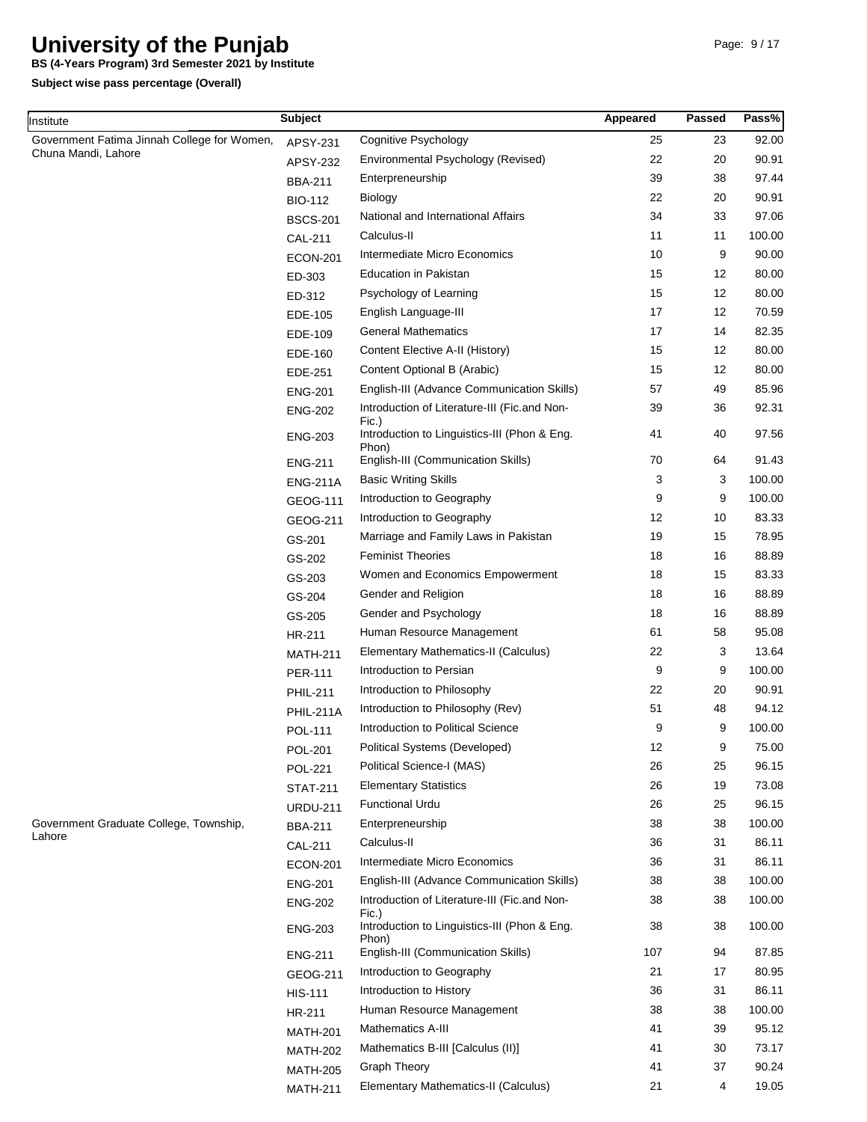**BS (4-Years Program) 3rd Semester 2021 by Institute**

**Subject wise pass percentage (Overall)**

Institute

| nstitute                                    | <b>Subject</b>   |                                                                | Appeared | Passed | Pass%  |
|---------------------------------------------|------------------|----------------------------------------------------------------|----------|--------|--------|
| Government Fatima Jinnah College for Women, | APSY-231         | Cognitive Psychology                                           | 25       | 23     | 92.00  |
| Chuna Mandi, Lahore                         | APSY-232         | Environmental Psychology (Revised)                             | 22       | 20     | 90.91  |
|                                             | <b>BBA-211</b>   | Enterpreneurship                                               | 39       | 38     | 97.44  |
|                                             | <b>BIO-112</b>   | <b>Biology</b>                                                 | 22       | 20     | 90.91  |
|                                             | <b>BSCS-201</b>  | National and International Affairs                             | 34       | 33     | 97.06  |
|                                             | <b>CAL-211</b>   | Calculus-II                                                    | 11       | 11     | 100.00 |
|                                             | <b>ECON-201</b>  | Intermediate Micro Economics                                   | 10       | 9      | 90.00  |
|                                             | ED-303           | <b>Education in Pakistan</b>                                   | 15       | 12     | 80.00  |
|                                             | ED-312           | Psychology of Learning                                         | 15       | 12     | 80.00  |
|                                             | EDE-105          | English Language-III                                           | 17       | 12     | 70.59  |
|                                             | EDE-109          | <b>General Mathematics</b>                                     | 17       | 14     | 82.35  |
|                                             | EDE-160          | Content Elective A-II (History)                                | 15       | 12     | 80.00  |
|                                             | EDE-251          | Content Optional B (Arabic)                                    | 15       | 12     | 80.00  |
|                                             | <b>ENG-201</b>   | English-III (Advance Communication Skills)                     | 57       | 49     | 85.96  |
|                                             | <b>ENG-202</b>   | Introduction of Literature-III (Fic.and Non-                   | 39       | 36     | 92.31  |
|                                             | <b>ENG-203</b>   | Fic.)<br>Introduction to Linguistics-III (Phon & Eng.<br>Phon) | 41       | 40     | 97.56  |
|                                             | <b>ENG-211</b>   | English-III (Communication Skills)                             | 70       | 64     | 91.43  |
|                                             | <b>ENG-211A</b>  | <b>Basic Writing Skills</b>                                    | 3        | 3      | 100.00 |
|                                             | GEOG-111         | Introduction to Geography                                      | 9        | 9      | 100.00 |
|                                             | GEOG-211         | Introduction to Geography                                      | 12       | 10     | 83.33  |
|                                             | GS-201           | Marriage and Family Laws in Pakistan                           | 19       | 15     | 78.95  |
|                                             | GS-202           | <b>Feminist Theories</b>                                       | 18       | 16     | 88.89  |
|                                             | GS-203           | Women and Economics Empowerment                                | 18       | 15     | 83.33  |
|                                             | GS-204           | Gender and Religion                                            | 18       | 16     | 88.89  |
|                                             | GS-205           | Gender and Psychology                                          | 18       | 16     | 88.89  |
|                                             | HR-211           | Human Resource Management                                      | 61       | 58     | 95.08  |
|                                             | <b>MATH-211</b>  | Elementary Mathematics-II (Calculus)                           | 22       | 3      | 13.64  |
|                                             | <b>PER-111</b>   | Introduction to Persian                                        | 9        | 9      | 100.00 |
|                                             | <b>PHIL-211</b>  | Introduction to Philosophy                                     | 22       | 20     | 90.91  |
|                                             | <b>PHIL-211A</b> | Introduction to Philosophy (Rev)                               | 51       | 48     | 94.12  |
|                                             | <b>POL-111</b>   | Introduction to Political Science                              | 9        | 9      | 100.00 |
|                                             | <b>POL-201</b>   | Political Systems (Developed)                                  | 12       | 9      | 75.00  |
|                                             | <b>POL-221</b>   | Political Science-I (MAS)                                      | 26       | 25     | 96.15  |
|                                             | <b>STAT-211</b>  | <b>Elementary Statistics</b>                                   | 26       | 19     | 73.08  |
|                                             | <b>URDU-211</b>  | <b>Functional Urdu</b>                                         | 26       | 25     | 96.15  |
| Government Graduate College, Township,      | <b>BBA-211</b>   | Enterpreneurship                                               | 38       | 38     | 100.00 |
| Lahore                                      | <b>CAL-211</b>   | Calculus-II                                                    | 36       | 31     | 86.11  |
|                                             | <b>ECON-201</b>  | Intermediate Micro Economics                                   | 36       | 31     | 86.11  |
|                                             | <b>ENG-201</b>   | English-III (Advance Communication Skills)                     | 38       | 38     | 100.00 |
|                                             | <b>ENG-202</b>   | Introduction of Literature-III (Fic.and Non-                   | 38       | 38     | 100.00 |
|                                             | <b>ENG-203</b>   | Fic.)<br>Introduction to Linguistics-III (Phon & Eng.          | 38       | 38     | 100.00 |
|                                             | <b>ENG-211</b>   | Phon)<br>English-III (Communication Skills)                    | 107      | 94     | 87.85  |
|                                             | GEOG-211         | Introduction to Geography                                      | 21       | 17     | 80.95  |
|                                             | <b>HIS-111</b>   | Introduction to History                                        | 36       | 31     | 86.11  |
|                                             | HR-211           | Human Resource Management                                      | 38       | 38     | 100.00 |
|                                             | <b>MATH-201</b>  | <b>Mathematics A-III</b>                                       | 41       | 39     | 95.12  |
|                                             | <b>MATH-202</b>  | Mathematics B-III [Calculus (II)]                              | 41       | 30     | 73.17  |
|                                             | <b>MATH-205</b>  | <b>Graph Theory</b>                                            | 41       | 37     | 90.24  |
|                                             | <b>MATH-211</b>  | Elementary Mathematics-II (Calculus)                           | 21       | 4      | 19.05  |

MATH-211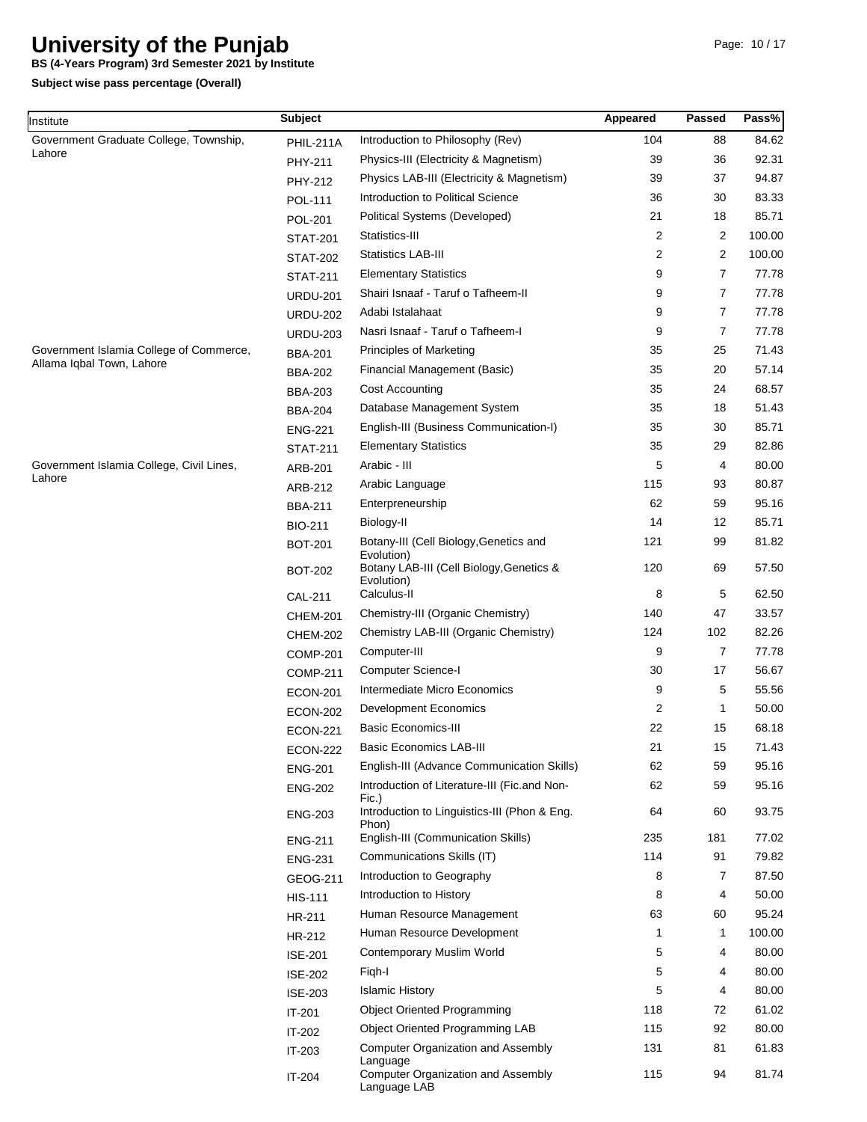**BS (4-Years Program) 3rd Semester 2021 by Institute**

**Subject wise pass percentage (Overall)**

Institute

| nstitute                                 | <b>Subject</b>  |                                                           | Appeared       | <b>Passed</b>  | Pass%  |
|------------------------------------------|-----------------|-----------------------------------------------------------|----------------|----------------|--------|
| Government Graduate College, Township,   | PHIL-211A       | Introduction to Philosophy (Rev)                          | 104            | 88             | 84.62  |
| Lahore                                   | <b>PHY-211</b>  | Physics-III (Electricity & Magnetism)                     | 39             | 36             | 92.31  |
|                                          | PHY-212         | Physics LAB-III (Electricity & Magnetism)                 | 39             | 37             | 94.87  |
|                                          | <b>POL-111</b>  | Introduction to Political Science                         | 36             | 30             | 83.33  |
|                                          | <b>POL-201</b>  | Political Systems (Developed)                             | 21             | 18             | 85.71  |
|                                          | <b>STAT-201</b> | Statistics-III                                            | $\overline{2}$ | 2              | 100.00 |
|                                          | <b>STAT-202</b> | <b>Statistics LAB-III</b>                                 | 2              | $\overline{2}$ | 100.00 |
|                                          | <b>STAT-211</b> | <b>Elementary Statistics</b>                              | 9              | $\overline{7}$ | 77.78  |
|                                          | <b>URDU-201</b> | Shairi Isnaaf - Taruf o Tafheem-II                        | 9              | 7              | 77.78  |
|                                          | <b>URDU-202</b> | Adabi Istalahaat                                          | 9              | $\overline{7}$ | 77.78  |
|                                          | <b>URDU-203</b> | Nasri Isnaaf - Taruf o Tafheem-I                          | 9              | $\overline{7}$ | 77.78  |
| Government Islamia College of Commerce,  | <b>BBA-201</b>  | <b>Principles of Marketing</b>                            | 35             | 25             | 71.43  |
| Allama Iqbal Town, Lahore                | <b>BBA-202</b>  | Financial Management (Basic)                              | 35             | 20             | 57.14  |
|                                          | <b>BBA-203</b>  | Cost Accounting                                           | 35             | 24             | 68.57  |
|                                          | <b>BBA-204</b>  | Database Management System                                | 35             | 18             | 51.43  |
|                                          | <b>ENG-221</b>  | English-III (Business Communication-I)                    | 35             | 30             | 85.71  |
|                                          | <b>STAT-211</b> | <b>Elementary Statistics</b>                              | 35             | 29             | 82.86  |
| Government Islamia College, Civil Lines, | ARB-201         | Arabic - III                                              | 5              | 4              | 80.00  |
| Lahore                                   | ARB-212         | Arabic Language                                           | 115            | 93             | 80.87  |
|                                          | <b>BBA-211</b>  | Enterpreneurship                                          | 62             | 59             | 95.16  |
|                                          | <b>BIO-211</b>  | Biology-II                                                | 14             | 12             | 85.71  |
|                                          | BOT-201         | Botany-III (Cell Biology, Genetics and<br>Evolution)      | 121            | 99             | 81.82  |
|                                          | BOT-202         | Botany LAB-III (Cell Biology, Genetics &<br>Evolution)    | 120            | 69             | 57.50  |
|                                          | <b>CAL-211</b>  | Calculus-II                                               | 8              | 5              | 62.50  |
|                                          | <b>CHEM-201</b> | Chemistry-III (Organic Chemistry)                         | 140            | 47             | 33.57  |
|                                          | <b>CHEM-202</b> | Chemistry LAB-III (Organic Chemistry)                     | 124            | 102            | 82.26  |
|                                          | <b>COMP-201</b> | Computer-III                                              | 9              | $\overline{7}$ | 77.78  |
|                                          | <b>COMP-211</b> | Computer Science-I                                        | 30             | 17             | 56.67  |
|                                          | <b>ECON-201</b> | Intermediate Micro Economics                              | 9              | 5              | 55.56  |
|                                          | <b>ECON-202</b> | <b>Development Economics</b>                              | 2              | $\mathbf 1$    | 50.00  |
|                                          | <b>ECON-221</b> | <b>Basic Economics-III</b>                                | 22             | 15             | 68.18  |
|                                          | <b>ECON-222</b> | Basic Economics LAB-III                                   | 21             | 15             | 71.43  |
|                                          | <b>ENG-201</b>  | English-III (Advance Communication Skills)                | 62             | 59             | 95.16  |
|                                          | <b>ENG-202</b>  | Introduction of Literature-III (Fic.and Non-<br>Fic.)     | 62             | 59             | 95.16  |
|                                          | <b>ENG-203</b>  | Introduction to Linguistics-III (Phon & Eng.<br>Phon)     | 64             | 60             | 93.75  |
|                                          | <b>ENG-211</b>  | English-III (Communication Skills)                        | 235            | 181            | 77.02  |
|                                          | <b>ENG-231</b>  | Communications Skills (IT)                                | 114            | 91             | 79.82  |
|                                          | GEOG-211        | Introduction to Geography                                 | 8              | 7              | 87.50  |
|                                          | <b>HIS-111</b>  | Introduction to History                                   | 8              | 4              | 50.00  |
|                                          | HR-211          | Human Resource Management                                 | 63             | 60             | 95.24  |
|                                          | HR-212          | Human Resource Development                                | 1              | $\mathbf 1$    | 100.00 |
|                                          | <b>ISE-201</b>  | Contemporary Muslim World                                 | 5              | 4              | 80.00  |
|                                          | <b>ISE-202</b>  | Figh-I                                                    | 5              | 4              | 80.00  |
|                                          | <b>ISE-203</b>  | <b>Islamic History</b>                                    | 5              | 4              | 80.00  |
|                                          | $IT-201$        | <b>Object Oriented Programming</b>                        | 118            | 72             | 61.02  |
|                                          | IT-202          | Object Oriented Programming LAB                           | 115            | 92             | 80.00  |
|                                          | IT-203          | <b>Computer Organization and Assembly</b><br>Language     | 131            | 81             | 61.83  |
|                                          | IT-204          | <b>Computer Organization and Assembly</b><br>Language LAB | 115            | 94             | 81.74  |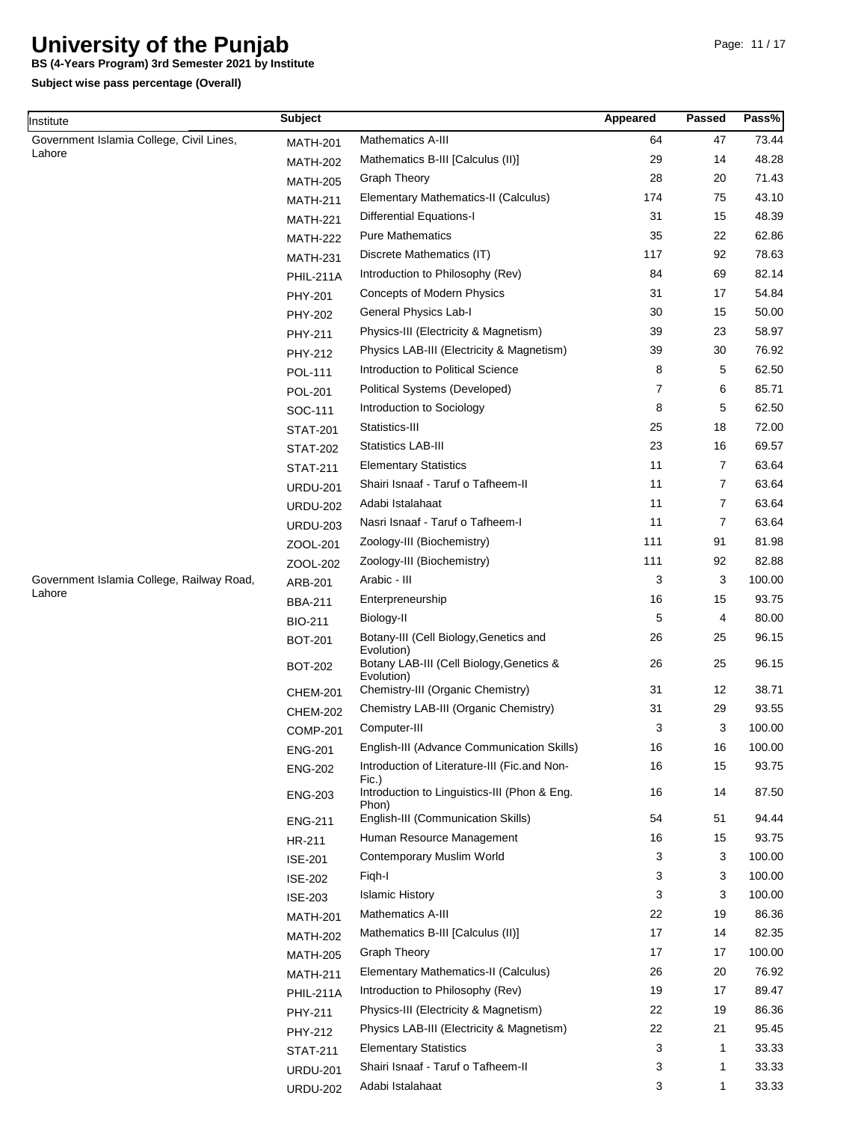**BS (4-Years Program) 3rd Semester 2021 by Institute**

| Institute                                           | <b>Subject</b>  |                                                                                                  | Appeared       | Passed         | Pass%          |
|-----------------------------------------------------|-----------------|--------------------------------------------------------------------------------------------------|----------------|----------------|----------------|
| Government Islamia College, Civil Lines,            | <b>MATH-201</b> | Mathematics A-III                                                                                | 64             | 47             | 73.44          |
| Lahore                                              | <b>MATH-202</b> | Mathematics B-III [Calculus (II)]                                                                | 29             | 14             | 48.28          |
|                                                     | <b>MATH-205</b> | <b>Graph Theory</b>                                                                              | 28             | 20             | 71.43          |
|                                                     | <b>MATH-211</b> | Elementary Mathematics-II (Calculus)                                                             | 174            | 75             | 43.10          |
|                                                     | <b>MATH-221</b> | <b>Differential Equations-I</b>                                                                  | 31             | 15             | 48.39          |
|                                                     | <b>MATH-222</b> | <b>Pure Mathematics</b>                                                                          | 35             | 22             | 62.86          |
|                                                     | <b>MATH-231</b> | Discrete Mathematics (IT)                                                                        | 117            | 92             | 78.63          |
|                                                     | PHIL-211A       | Introduction to Philosophy (Rev)                                                                 | 84             | 69             | 82.14          |
|                                                     | PHY-201         | Concepts of Modern Physics                                                                       | 31             | 17             | 54.84          |
|                                                     | <b>PHY-202</b>  | General Physics Lab-I                                                                            | 30             | 15             | 50.00          |
|                                                     | PHY-211         | Physics-III (Electricity & Magnetism)                                                            | 39             | 23             | 58.97          |
|                                                     | PHY-212         | Physics LAB-III (Electricity & Magnetism)                                                        | 39             | 30             | 76.92          |
|                                                     | <b>POL-111</b>  | Introduction to Political Science                                                                | 8              | 5              | 62.50          |
|                                                     |                 | Political Systems (Developed)                                                                    | $\overline{7}$ | 6              | 85.71          |
|                                                     | <b>POL-201</b>  | Introduction to Sociology                                                                        | 8              | 5              | 62.50          |
|                                                     | SOC-111         | Statistics-III                                                                                   | 25             | 18             | 72.00          |
|                                                     | <b>STAT-201</b> |                                                                                                  | 23             | 16             | 69.57          |
|                                                     | <b>STAT-202</b> | <b>Statistics LAB-III</b>                                                                        |                |                |                |
|                                                     | <b>STAT-211</b> | <b>Elementary Statistics</b>                                                                     | 11             | $\overline{7}$ | 63.64          |
|                                                     | <b>URDU-201</b> | Shairi Isnaaf - Taruf o Tafheem-II                                                               | 11             | $\overline{7}$ | 63.64          |
|                                                     | <b>URDU-202</b> | Adabi Istalahaat                                                                                 | 11             | 7              | 63.64          |
|                                                     | <b>URDU-203</b> | Nasri Isnaaf - Taruf o Tafheem-I                                                                 | 11             | 7              | 63.64          |
|                                                     | ZOOL-201        | Zoology-III (Biochemistry)                                                                       | 111            | 91             | 81.98          |
|                                                     | ZOOL-202        | Zoology-III (Biochemistry)                                                                       | 111            | 92             | 82.88          |
| Government Islamia College, Railway Road,<br>Lahore | ARB-201         | Arabic - III                                                                                     | 3              | 3              | 100.00         |
|                                                     | <b>BBA-211</b>  | Enterpreneurship                                                                                 | 16             | 15             | 93.75          |
|                                                     | <b>BIO-211</b>  | Biology-II                                                                                       | 5              | 4              | 80.00          |
|                                                     | <b>BOT-201</b>  | Botany-III (Cell Biology, Genetics and<br>Evolution)<br>Botany LAB-III (Cell Biology, Genetics & | 26<br>26       | 25<br>25       | 96.15<br>96.15 |
|                                                     | <b>BOT-202</b>  | Evolution)                                                                                       |                |                |                |
|                                                     | <b>CHEM-201</b> | Chemistry-III (Organic Chemistry)                                                                | 31             | 12             | 38.71          |
|                                                     | <b>CHEM-202</b> | Chemistry LAB-III (Organic Chemistry)                                                            | 31             | 29             | 93.55          |
|                                                     | <b>COMP-201</b> | Computer-III                                                                                     | 3              | 3              | 100.00         |
|                                                     | <b>ENG-201</b>  | English-III (Advance Communication Skills)                                                       | 16             | 16             | 100.00         |
|                                                     | <b>ENG-202</b>  | Introduction of Literature-III (Fic.and Non-<br>Fic.)                                            | 16             | 15             | 93.75          |
|                                                     | <b>ENG-203</b>  | Introduction to Linguistics-III (Phon & Eng.<br>Phon)                                            | 16             | 14             | 87.50          |
|                                                     | <b>ENG-211</b>  | English-III (Communication Skills)                                                               | 54             | 51             | 94.44          |
|                                                     | HR-211          | Human Resource Management                                                                        | 16             | 15             | 93.75          |
|                                                     | <b>ISE-201</b>  | Contemporary Muslim World                                                                        | 3              | 3              | 100.00         |
|                                                     | <b>ISE-202</b>  | Figh-I                                                                                           | 3              | 3              | 100.00         |
|                                                     | <b>ISE-203</b>  | <b>Islamic History</b>                                                                           | 3              | 3              | 100.00         |
|                                                     | <b>MATH-201</b> | Mathematics A-III                                                                                | 22             | 19             | 86.36          |
|                                                     | <b>MATH-202</b> | Mathematics B-III [Calculus (II)]                                                                | 17             | 14             | 82.35          |
|                                                     | <b>MATH-205</b> | <b>Graph Theory</b>                                                                              | 17             | 17             | 100.00         |
|                                                     | <b>MATH-211</b> | Elementary Mathematics-II (Calculus)                                                             | 26             | 20             | 76.92          |
|                                                     | PHIL-211A       | Introduction to Philosophy (Rev)                                                                 | 19             | 17             | 89.47          |
|                                                     | PHY-211         | Physics-III (Electricity & Magnetism)                                                            | 22             | 19             | 86.36          |
|                                                     | PHY-212         | Physics LAB-III (Electricity & Magnetism)                                                        | 22             | 21             | 95.45          |
|                                                     |                 | <b>Elementary Statistics</b>                                                                     | 3              | $\mathbf 1$    | 33.33          |
|                                                     | <b>STAT-211</b> | Shairi Isnaaf - Taruf o Tafheem-II                                                               | 3              | 1              | 33.33          |
|                                                     | <b>URDU-201</b> | Adabi Istalahaat                                                                                 | 3              | $\mathbf 1$    | 33.33          |
|                                                     | <b>URDU-202</b> |                                                                                                  |                |                |                |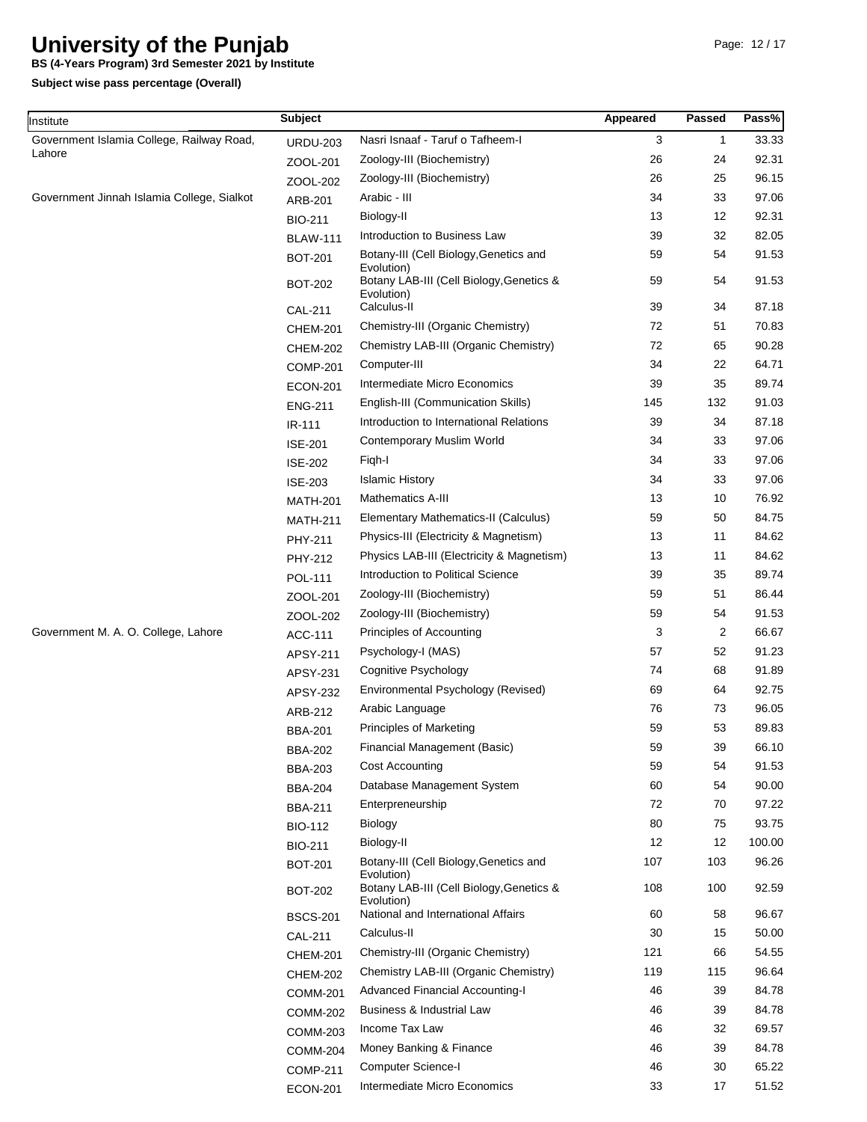**BS (4-Years Program) 3rd Semester 2021 by Institute**

**Subject wise pass percentage (Overall)**

Institute

| nstitute                                   | <b>Subject</b>                   |                                                                      | Appeared | Passed       | Pass%  |
|--------------------------------------------|----------------------------------|----------------------------------------------------------------------|----------|--------------|--------|
| Government Islamia College, Railway Road,  | <b>URDU-203</b>                  | Nasri Isnaaf - Taruf o Tafheem-I                                     | 3        | $\mathbf{1}$ | 33.33  |
| Lahore                                     | ZOOL-201                         | Zoology-III (Biochemistry)                                           | 26       | 24           | 92.31  |
|                                            | ZOOL-202                         | Zoology-III (Biochemistry)                                           | 26       | 25           | 96.15  |
| Government Jinnah Islamia College, Sialkot | ARB-201                          | Arabic - III                                                         | 34       | 33           | 97.06  |
|                                            | <b>BIO-211</b>                   | Biology-II                                                           | 13       | 12           | 92.31  |
|                                            | <b>BLAW-111</b>                  | Introduction to Business Law                                         | 39       | 32           | 82.05  |
|                                            | <b>BOT-201</b>                   | Botany-III (Cell Biology, Genetics and<br>Evolution)                 | 59       | 54           | 91.53  |
|                                            | <b>BOT-202</b>                   | Botany LAB-III (Cell Biology, Genetics &<br>Evolution)               | 59       | 54           | 91.53  |
|                                            | <b>CAL-211</b>                   | Calculus-II                                                          | 39       | 34           | 87.18  |
|                                            | <b>CHEM-201</b>                  | Chemistry-III (Organic Chemistry)                                    | 72       | 51           | 70.83  |
|                                            | <b>CHEM-202</b>                  | Chemistry LAB-III (Organic Chemistry)                                | 72       | 65           | 90.28  |
|                                            | <b>COMP-201</b>                  | Computer-III                                                         | 34       | 22           | 64.71  |
|                                            | <b>ECON-201</b>                  | Intermediate Micro Economics                                         | 39       | 35           | 89.74  |
|                                            | <b>ENG-211</b>                   | English-III (Communication Skills)                                   | 145      | 132          | 91.03  |
|                                            | IR-111                           | Introduction to International Relations                              | 39       | 34           | 87.18  |
|                                            | <b>ISE-201</b>                   | Contemporary Muslim World                                            | 34       | 33           | 97.06  |
|                                            | <b>ISE-202</b>                   | Figh-I                                                               | 34       | 33           | 97.06  |
|                                            | <b>ISE-203</b>                   | <b>Islamic History</b>                                               | 34       | 33           | 97.06  |
|                                            | <b>MATH-201</b>                  | <b>Mathematics A-III</b>                                             | 13       | 10           | 76.92  |
|                                            | <b>MATH-211</b>                  | Elementary Mathematics-II (Calculus)                                 | 59       | 50           | 84.75  |
|                                            | PHY-211                          | Physics-III (Electricity & Magnetism)                                | 13       | 11           | 84.62  |
|                                            | PHY-212                          | Physics LAB-III (Electricity & Magnetism)                            | 13       | 11           | 84.62  |
|                                            | <b>POL-111</b>                   | Introduction to Political Science                                    | 39       | 35           | 89.74  |
|                                            | ZOOL-201                         | Zoology-III (Biochemistry)                                           | 59       | 51           | 86.44  |
|                                            | ZOOL-202                         | Zoology-III (Biochemistry)                                           | 59       | 54           | 91.53  |
| Government M. A. O. College, Lahore        | ACC-111                          | Principles of Accounting                                             | 3        | 2            | 66.67  |
|                                            | APSY-211                         | Psychology-I (MAS)                                                   | 57       | 52           | 91.23  |
|                                            | APSY-231                         | Cognitive Psychology                                                 | 74       | 68           | 91.89  |
|                                            | APSY-232                         | Environmental Psychology (Revised)                                   | 69       | 64           | 92.75  |
|                                            | ARB-212                          | Arabic Language                                                      | 76       | 73           | 96.05  |
|                                            | <b>BBA-201</b>                   | <b>Principles of Marketing</b>                                       | 59       | 53           | 89.83  |
|                                            | <b>BBA-202</b>                   | Financial Management (Basic)                                         | 59       | 39           | 66.10  |
|                                            | <b>BBA-203</b>                   | Cost Accounting                                                      | 59       | 54           | 91.53  |
|                                            |                                  | Database Management System                                           | 60       | 54           | 90.00  |
|                                            | <b>BBA-204</b>                   | Enterpreneurship                                                     | 72       | 70           | 97.22  |
|                                            | <b>BBA-211</b>                   | <b>Biology</b>                                                       | 80       | 75           | 93.75  |
|                                            | <b>BIO-112</b>                   | Biology-II                                                           | 12       | 12           | 100.00 |
|                                            | <b>BIO-211</b><br><b>BOT-201</b> | Botany-III (Cell Biology, Genetics and                               | 107      | 103          | 96.26  |
|                                            | <b>BOT-202</b>                   | Evolution)<br>Botany LAB-III (Cell Biology, Genetics &<br>Evolution) | 108      | 100          | 92.59  |
|                                            | <b>BSCS-201</b>                  | National and International Affairs                                   | 60       | 58           | 96.67  |
|                                            | <b>CAL-211</b>                   | Calculus-II                                                          | 30       | 15           | 50.00  |
|                                            |                                  | Chemistry-III (Organic Chemistry)                                    | 121      | 66           | 54.55  |
|                                            | <b>CHEM-201</b>                  | Chemistry LAB-III (Organic Chemistry)                                | 119      | 115          | 96.64  |
|                                            | <b>CHEM-202</b>                  | <b>Advanced Financial Accounting-I</b>                               | 46       | 39           | 84.78  |
|                                            | <b>COMM-201</b>                  | Business & Industrial Law                                            | 46       | 39           | 84.78  |
|                                            | <b>COMM-202</b>                  | Income Tax Law                                                       | 46       | 32           | 69.57  |
|                                            | <b>COMM-203</b>                  | Money Banking & Finance                                              | 46       | 39           | 84.78  |
|                                            | <b>COMM-204</b>                  |                                                                      | 46       | 30           | 65.22  |
|                                            | <b>COMP-211</b>                  | <b>Computer Science-I</b>                                            |          |              |        |
|                                            | <b>ECON-201</b>                  | Intermediate Micro Economics                                         | 33       | 17           | 51.52  |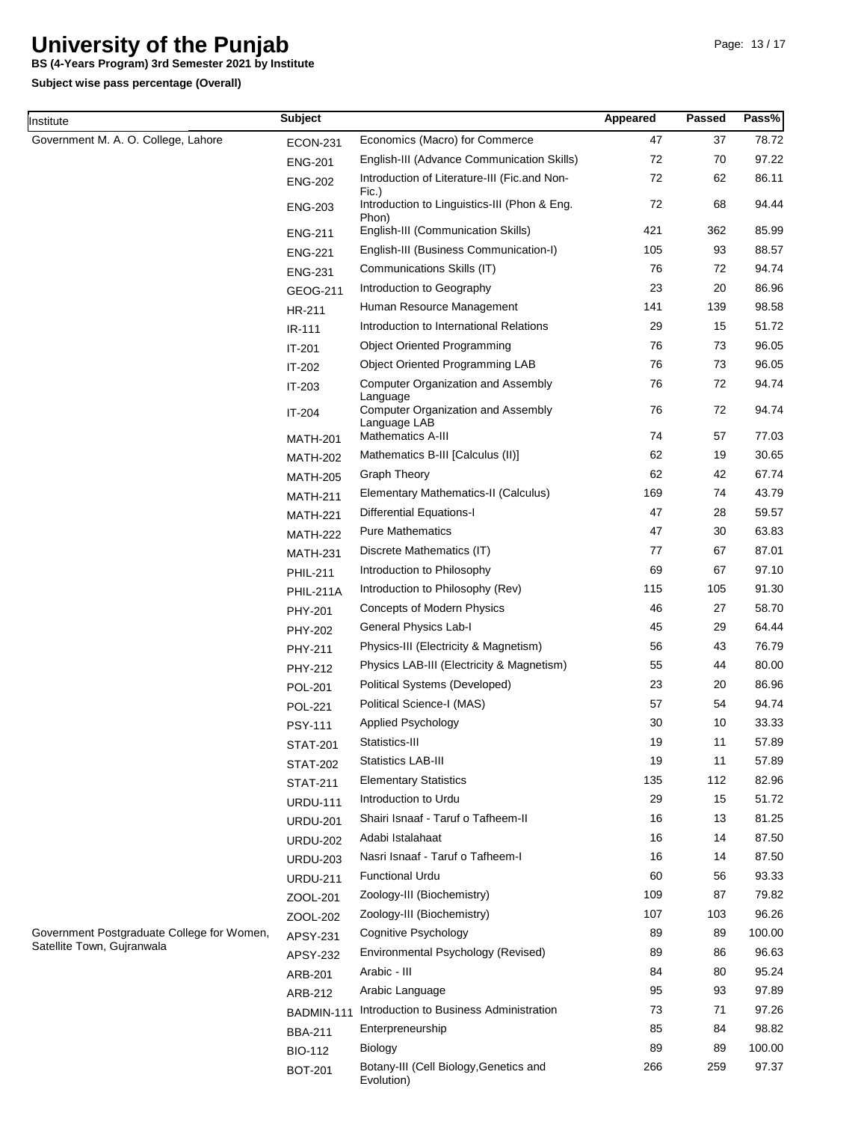**BS (4-Years Program) 3rd Semester 2021 by Institute**

**Subject wise pass percentage (Overall)**

**Institute** 

| nstitute                                   | <b>Subject</b>  |                                                                       | Appeared | Passed | Pass%  |
|--------------------------------------------|-----------------|-----------------------------------------------------------------------|----------|--------|--------|
| Government M. A. O. College, Lahore        | <b>ECON-231</b> | Economics (Macro) for Commerce                                        | 47       | 37     | 78.72  |
|                                            | <b>ENG-201</b>  | English-III (Advance Communication Skills)                            | 72       | 70     | 97.22  |
|                                            | <b>ENG-202</b>  | Introduction of Literature-III (Fic.and Non-                          | 72       | 62     | 86.11  |
|                                            | <b>ENG-203</b>  | Fic.)<br>Introduction to Linguistics-III (Phon & Eng.<br>Phon)        | 72       | 68     | 94.44  |
|                                            | <b>ENG-211</b>  | English-III (Communication Skills)                                    | 421      | 362    | 85.99  |
|                                            | <b>ENG-221</b>  | English-III (Business Communication-I)                                | 105      | 93     | 88.57  |
|                                            | <b>ENG-231</b>  | Communications Skills (IT)                                            | 76       | 72     | 94.74  |
|                                            | GEOG-211        | Introduction to Geography                                             | 23       | 20     | 86.96  |
|                                            | HR-211          | Human Resource Management                                             | 141      | 139    | 98.58  |
|                                            | IR-111          | Introduction to International Relations                               | 29       | 15     | 51.72  |
|                                            | IT-201          | <b>Object Oriented Programming</b>                                    | 76       | 73     | 96.05  |
|                                            | IT-202          | Object Oriented Programming LAB                                       | 76       | 73     | 96.05  |
|                                            | IT-203          | <b>Computer Organization and Assembly</b>                             | 76       | 72     | 94.74  |
|                                            | IT-204          | Language<br><b>Computer Organization and Assembly</b><br>Language LAB | 76       | 72     | 94.74  |
|                                            | <b>MATH-201</b> | Mathematics A-III                                                     | 74       | 57     | 77.03  |
|                                            | <b>MATH-202</b> | Mathematics B-III [Calculus (II)]                                     | 62       | 19     | 30.65  |
|                                            | <b>MATH-205</b> | <b>Graph Theory</b>                                                   | 62       | 42     | 67.74  |
|                                            | <b>MATH-211</b> | Elementary Mathematics-II (Calculus)                                  | 169      | 74     | 43.79  |
|                                            | <b>MATH-221</b> | <b>Differential Equations-I</b>                                       | 47       | 28     | 59.57  |
|                                            | <b>MATH-222</b> | <b>Pure Mathematics</b>                                               | 47       | 30     | 63.83  |
|                                            | <b>MATH-231</b> | Discrete Mathematics (IT)                                             | 77       | 67     | 87.01  |
|                                            | <b>PHIL-211</b> | Introduction to Philosophy                                            | 69       | 67     | 97.10  |
|                                            | PHIL-211A       | Introduction to Philosophy (Rev)                                      | 115      | 105    | 91.30  |
|                                            | PHY-201         | Concepts of Modern Physics                                            | 46       | 27     | 58.70  |
|                                            | <b>PHY-202</b>  | General Physics Lab-I                                                 | 45       | 29     | 64.44  |
|                                            | PHY-211         | Physics-III (Electricity & Magnetism)                                 | 56       | 43     | 76.79  |
|                                            | PHY-212         | Physics LAB-III (Electricity & Magnetism)                             | 55       | 44     | 80.00  |
|                                            | <b>POL-201</b>  | Political Systems (Developed)                                         | 23       | 20     | 86.96  |
|                                            | <b>POL-221</b>  | Political Science-I (MAS)                                             | 57       | 54     | 94.74  |
|                                            | <b>PSY-111</b>  | Applied Psychology                                                    | 30       | 10     | 33.33  |
|                                            | <b>STAT-201</b> | Statistics-III                                                        | 19       | 11     | 57.89  |
|                                            | <b>STAT-202</b> | <b>Statistics LAB-III</b>                                             | 19       | 11     | 57.89  |
|                                            | <b>STAT-211</b> | <b>Elementary Statistics</b>                                          | 135      | 112    | 82.96  |
|                                            | <b>URDU-111</b> | Introduction to Urdu                                                  | 29       | 15     | 51.72  |
|                                            | <b>URDU-201</b> | Shairi Isnaaf - Taruf o Tafheem-II                                    | 16       | 13     | 81.25  |
|                                            | <b>URDU-202</b> | Adabi Istalahaat                                                      | 16       | 14     | 87.50  |
|                                            | <b>URDU-203</b> | Nasri Isnaaf - Taruf o Tafheem-I                                      | 16       | 14     | 87.50  |
|                                            | <b>URDU-211</b> | <b>Functional Urdu</b>                                                | 60       | 56     | 93.33  |
|                                            | ZOOL-201        | Zoology-III (Biochemistry)                                            | 109      | 87     | 79.82  |
|                                            | ZOOL-202        | Zoology-III (Biochemistry)                                            | 107      | 103    | 96.26  |
| Government Postgraduate College for Women, | APSY-231        | Cognitive Psychology                                                  | 89       | 89     | 100.00 |
| Satellite Town, Gujranwala                 | APSY-232        | Environmental Psychology (Revised)                                    | 89       | 86     | 96.63  |
|                                            | ARB-201         | Arabic - III                                                          | 84       | 80     | 95.24  |
|                                            | ARB-212         | Arabic Language                                                       | 95       | 93     | 97.89  |
|                                            | BADMIN-111      | Introduction to Business Administration                               | 73       | 71     | 97.26  |
|                                            | <b>BBA-211</b>  | Enterpreneurship                                                      | 85       | 84     | 98.82  |
|                                            | <b>BIO-112</b>  | <b>Biology</b>                                                        | 89       | 89     | 100.00 |
|                                            | <b>BOT-201</b>  | Botany-III (Cell Biology, Genetics and<br>Evolution)                  | 266      | 259    | 97.37  |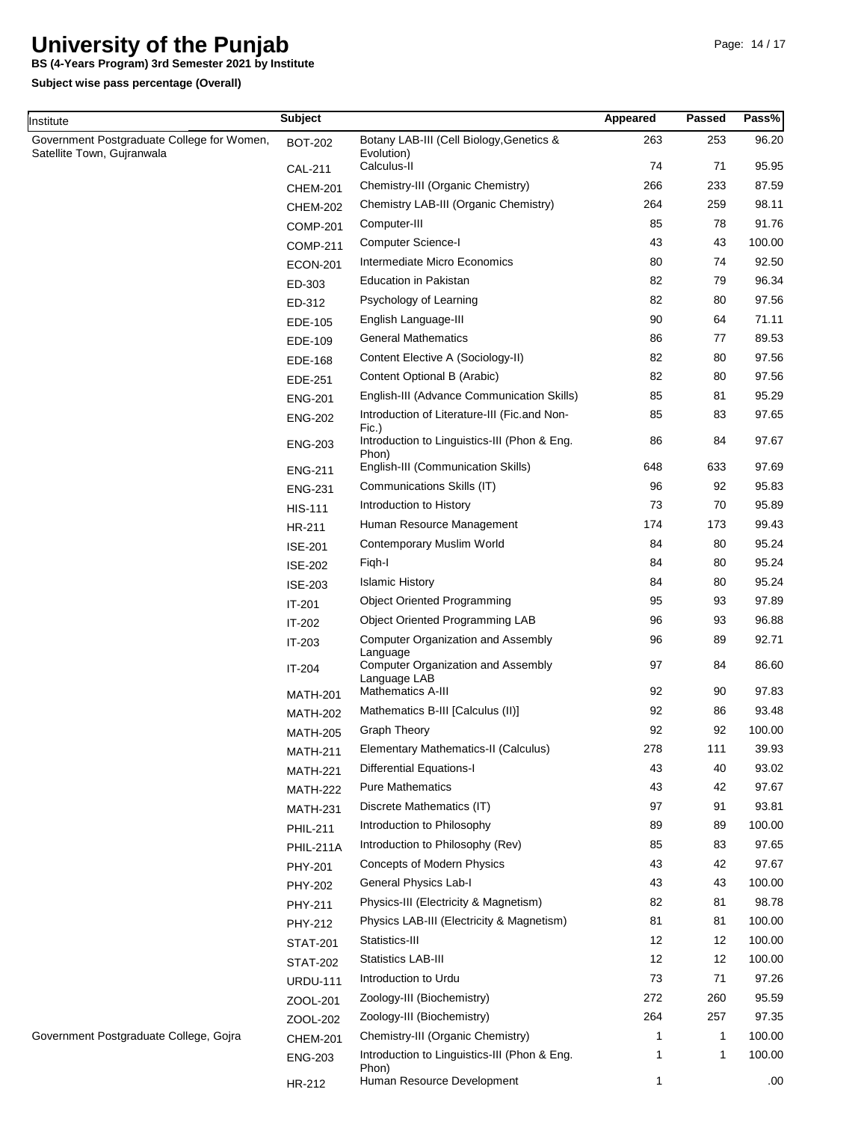**BS (4-Years Program) 3rd Semester 2021 by Institute**

**Subject**

**Subject wise pass percentage (Overall)**

**Institute** 

Page: 14 / 17

| Government Postgraduate College for Women,<br>Satellite Town, Gujranwala | <b>BOT-202</b>  | Botany LAB-III (Cell Biology, Genetics &<br>Evolution)    | 263 | 253          | 96.20  |
|--------------------------------------------------------------------------|-----------------|-----------------------------------------------------------|-----|--------------|--------|
|                                                                          | <b>CAL-211</b>  | Calculus-II                                               | 74  | 71           | 95.95  |
|                                                                          | <b>CHEM-201</b> | Chemistry-III (Organic Chemistry)                         | 266 | 233          | 87.59  |
|                                                                          | <b>CHEM-202</b> | Chemistry LAB-III (Organic Chemistry)                     | 264 | 259          | 98.11  |
|                                                                          | <b>COMP-201</b> | Computer-III                                              | 85  | 78           | 91.76  |
|                                                                          | <b>COMP-211</b> | Computer Science-I                                        | 43  | 43           | 100.00 |
|                                                                          | <b>ECON-201</b> | Intermediate Micro Economics                              | 80  | 74           | 92.50  |
|                                                                          | ED-303          | Education in Pakistan                                     | 82  | 79           | 96.34  |
|                                                                          | ED-312          | Psychology of Learning                                    | 82  | 80           | 97.56  |
|                                                                          | EDE-105         | English Language-III                                      | 90  | 64           | 71.11  |
|                                                                          | EDE-109         | <b>General Mathematics</b>                                | 86  | 77           | 89.53  |
|                                                                          | EDE-168         | Content Elective A (Sociology-II)                         | 82  | 80           | 97.56  |
|                                                                          | EDE-251         | Content Optional B (Arabic)                               | 82  | 80           | 97.56  |
|                                                                          | <b>ENG-201</b>  | English-III (Advance Communication Skills)                | 85  | 81           | 95.29  |
|                                                                          | <b>ENG-202</b>  | Introduction of Literature-III (Fic.and Non-<br>Fic.)     | 85  | 83           | 97.65  |
|                                                                          | <b>ENG-203</b>  | Introduction to Linguistics-III (Phon & Eng.<br>Phon)     | 86  | 84           | 97.67  |
|                                                                          | <b>ENG-211</b>  | English-III (Communication Skills)                        | 648 | 633          | 97.69  |
|                                                                          | <b>ENG-231</b>  | Communications Skills (IT)                                | 96  | 92           | 95.83  |
|                                                                          | <b>HIS-111</b>  | Introduction to History                                   | 73  | 70           | 95.89  |
|                                                                          | HR-211          | Human Resource Management                                 | 174 | 173          | 99.43  |
|                                                                          | <b>ISE-201</b>  | Contemporary Muslim World                                 | 84  | 80           | 95.24  |
|                                                                          | <b>ISE-202</b>  | Figh-I                                                    | 84  | 80           | 95.24  |
|                                                                          | <b>ISE-203</b>  | <b>Islamic History</b>                                    | 84  | 80           | 95.24  |
|                                                                          | IT-201          | <b>Object Oriented Programming</b>                        | 95  | 93           | 97.89  |
|                                                                          | IT-202          | Object Oriented Programming LAB                           | 96  | 93           | 96.88  |
|                                                                          | IT-203          | <b>Computer Organization and Assembly</b><br>Language     | 96  | 89           | 92.71  |
|                                                                          | IT-204          | <b>Computer Organization and Assembly</b><br>Language LAB | 97  | 84           | 86.60  |
|                                                                          | <b>MATH-201</b> | Mathematics A-III                                         | 92  | 90           | 97.83  |
|                                                                          | <b>MATH-202</b> | Mathematics B-III [Calculus (II)]                         | 92  | 86           | 93.48  |
|                                                                          | <b>MATH-205</b> | <b>Graph Theory</b>                                       | 92  | 92           | 100.00 |
|                                                                          | <b>MATH-211</b> | Elementary Mathematics-II (Calculus)                      | 278 | 111          | 39.93  |
|                                                                          | <b>MATH-221</b> | Differential Equations-I                                  | 43  | 40           | 93.02  |
|                                                                          | <b>MATH-222</b> | <b>Pure Mathematics</b>                                   | 43  | 42           | 97.67  |
|                                                                          | <b>MATH-231</b> | Discrete Mathematics (IT)                                 | 97  | 91           | 93.81  |
|                                                                          | <b>PHIL-211</b> | Introduction to Philosophy                                | 89  | 89           | 100.00 |
|                                                                          | PHIL-211A       | Introduction to Philosophy (Rev)                          | 85  | 83           | 97.65  |
|                                                                          | PHY-201         | Concepts of Modern Physics                                | 43  | 42           | 97.67  |
|                                                                          | PHY-202         | General Physics Lab-I                                     | 43  | 43           | 100.00 |
|                                                                          | PHY-211         | Physics-III (Electricity & Magnetism)                     | 82  | 81           | 98.78  |
|                                                                          | PHY-212         | Physics LAB-III (Electricity & Magnetism)                 | 81  | 81           | 100.00 |
|                                                                          | <b>STAT-201</b> | Statistics-III                                            | 12  | 12           | 100.00 |
|                                                                          | <b>STAT-202</b> | <b>Statistics LAB-III</b>                                 | 12  | 12           | 100.00 |
|                                                                          | <b>URDU-111</b> | Introduction to Urdu                                      | 73  | 71           | 97.26  |
|                                                                          | ZOOL-201        | Zoology-III (Biochemistry)                                | 272 | 260          | 95.59  |
|                                                                          | ZOOL-202        | Zoology-III (Biochemistry)                                | 264 | 257          | 97.35  |
| Government Postgraduate College, Gojra                                   | <b>CHEM-201</b> | Chemistry-III (Organic Chemistry)                         | 1   | $\mathbf{1}$ | 100.00 |
|                                                                          | <b>ENG-203</b>  | Introduction to Linguistics-III (Phon & Eng.<br>Phon)     | 1   | $\mathbf 1$  | 100.00 |
|                                                                          | HR-212          | Human Resource Development                                | 1   |              | .00    |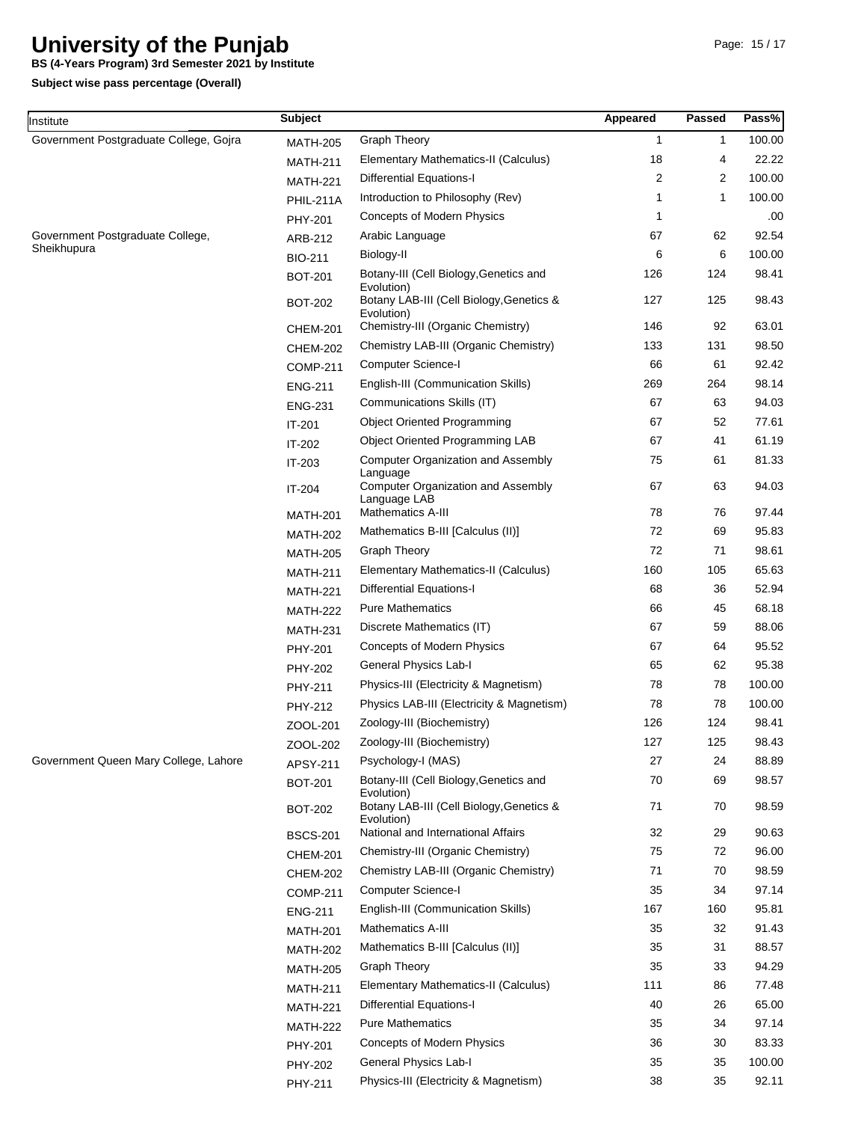**BS (4-Years Program) 3rd Semester 2021 by Institute**

**Subject wise pass percentage (Overall)**

| Institute                              | <b>Subject</b>  |                                                                       | Appeared     | <b>Passed</b> | Pass%  |
|----------------------------------------|-----------------|-----------------------------------------------------------------------|--------------|---------------|--------|
| Government Postgraduate College, Gojra | <b>MATH-205</b> | <b>Graph Theory</b>                                                   | $\mathbf{1}$ | $\mathbf{1}$  | 100.00 |
|                                        | <b>MATH-211</b> | Elementary Mathematics-II (Calculus)                                  | 18           | 4             | 22.22  |
|                                        | <b>MATH-221</b> | Differential Equations-I                                              | 2            | 2             | 100.00 |
|                                        | PHIL-211A       | Introduction to Philosophy (Rev)                                      | 1            | 1             | 100.00 |
|                                        | PHY-201         | Concepts of Modern Physics                                            | 1            |               | .00    |
| Government Postgraduate College,       | ARB-212         | Arabic Language                                                       | 67           | 62            | 92.54  |
| Sheikhupura                            | <b>BIO-211</b>  | Biology-II                                                            | 6            | 6             | 100.00 |
|                                        | <b>BOT-201</b>  | Botany-III (Cell Biology, Genetics and                                | 126          | 124           | 98.41  |
|                                        | <b>BOT-202</b>  | Evolution)<br>Botany LAB-III (Cell Biology, Genetics &<br>Evolution)  | 127          | 125           | 98.43  |
|                                        | <b>CHEM-201</b> | Chemistry-III (Organic Chemistry)                                     | 146          | 92            | 63.01  |
|                                        | <b>CHEM-202</b> | Chemistry LAB-III (Organic Chemistry)                                 | 133          | 131           | 98.50  |
|                                        | <b>COMP-211</b> | <b>Computer Science-I</b>                                             | 66           | 61            | 92.42  |
|                                        | <b>ENG-211</b>  | English-III (Communication Skills)                                    | 269          | 264           | 98.14  |
|                                        | <b>ENG-231</b>  | Communications Skills (IT)                                            | 67           | 63            | 94.03  |
|                                        | IT-201          | <b>Object Oriented Programming</b>                                    | 67           | 52            | 77.61  |
|                                        | IT-202          | Object Oriented Programming LAB                                       | 67           | 41            | 61.19  |
|                                        | IT-203          | <b>Computer Organization and Assembly</b>                             | 75           | 61            | 81.33  |
|                                        | IT-204          | Language<br><b>Computer Organization and Assembly</b><br>Language LAB | 67           | 63            | 94.03  |
|                                        | <b>MATH-201</b> | <b>Mathematics A-III</b>                                              | 78           | 76            | 97.44  |
|                                        | <b>MATH-202</b> | Mathematics B-III [Calculus (II)]                                     | 72           | 69            | 95.83  |
|                                        | <b>MATH-205</b> | Graph Theory                                                          | 72           | 71            | 98.61  |
|                                        | <b>MATH-211</b> | Elementary Mathematics-II (Calculus)                                  | 160          | 105           | 65.63  |
|                                        | <b>MATH-221</b> | <b>Differential Equations-I</b>                                       | 68           | 36            | 52.94  |
|                                        | <b>MATH-222</b> | <b>Pure Mathematics</b>                                               | 66           | 45            | 68.18  |
|                                        | <b>MATH-231</b> | Discrete Mathematics (IT)                                             | 67           | 59            | 88.06  |
|                                        | PHY-201         | Concepts of Modern Physics                                            | 67           | 64            | 95.52  |
|                                        | <b>PHY-202</b>  | General Physics Lab-I                                                 | 65           | 62            | 95.38  |
|                                        | PHY-211         | Physics-III (Electricity & Magnetism)                                 | 78           | 78            | 100.00 |
|                                        | PHY-212         | Physics LAB-III (Electricity & Magnetism)                             | 78           | 78            | 100.00 |
|                                        | ZOOL-201        | Zoology-III (Biochemistry)                                            | 126          | 124           | 98.41  |
|                                        | ZOOL-202        | Zoology-III (Biochemistry)                                            | 127          | 125           | 98.43  |
| Government Queen Mary College, Lahore  | APSY-211        | Psychology-I (MAS)                                                    | 27           | 24            | 88.89  |
|                                        | <b>BOT-201</b>  | Botany-III (Cell Biology, Genetics and<br>Evolution)                  | 70           | 69            | 98.57  |
|                                        | <b>BOT-202</b>  | Botany LAB-III (Cell Biology, Genetics &<br>Evolution)                | 71           | 70            | 98.59  |
|                                        | <b>BSCS-201</b> | National and International Affairs                                    | 32           | 29            | 90.63  |
|                                        | <b>CHEM-201</b> | Chemistry-III (Organic Chemistry)                                     | 75           | 72            | 96.00  |
|                                        | <b>CHEM-202</b> | Chemistry LAB-III (Organic Chemistry)                                 | 71           | 70            | 98.59  |
|                                        | <b>COMP-211</b> | Computer Science-I                                                    | 35           | 34            | 97.14  |
|                                        | <b>ENG-211</b>  | English-III (Communication Skills)                                    | 167          | 160           | 95.81  |
|                                        | <b>MATH-201</b> | Mathematics A-III                                                     | 35           | 32            | 91.43  |
|                                        | MATH-202        | Mathematics B-III [Calculus (II)]                                     | 35           | 31            | 88.57  |
|                                        | <b>MATH-205</b> | <b>Graph Theory</b>                                                   | 35           | 33            | 94.29  |
|                                        | <b>MATH-211</b> | Elementary Mathematics-II (Calculus)                                  | 111          | 86            | 77.48  |
|                                        | <b>MATH-221</b> | <b>Differential Equations-I</b>                                       | 40           | 26            | 65.00  |
|                                        | MATH-222        | <b>Pure Mathematics</b>                                               | 35           | 34            | 97.14  |
|                                        | <b>PHY-201</b>  | Concepts of Modern Physics                                            | 36           | 30            | 83.33  |
|                                        | PHY-202         | General Physics Lab-I                                                 | 35           | 35            | 100.00 |
|                                        | PHY-211         | Physics-III (Electricity & Magnetism)                                 | 38           | 35            | 92.11  |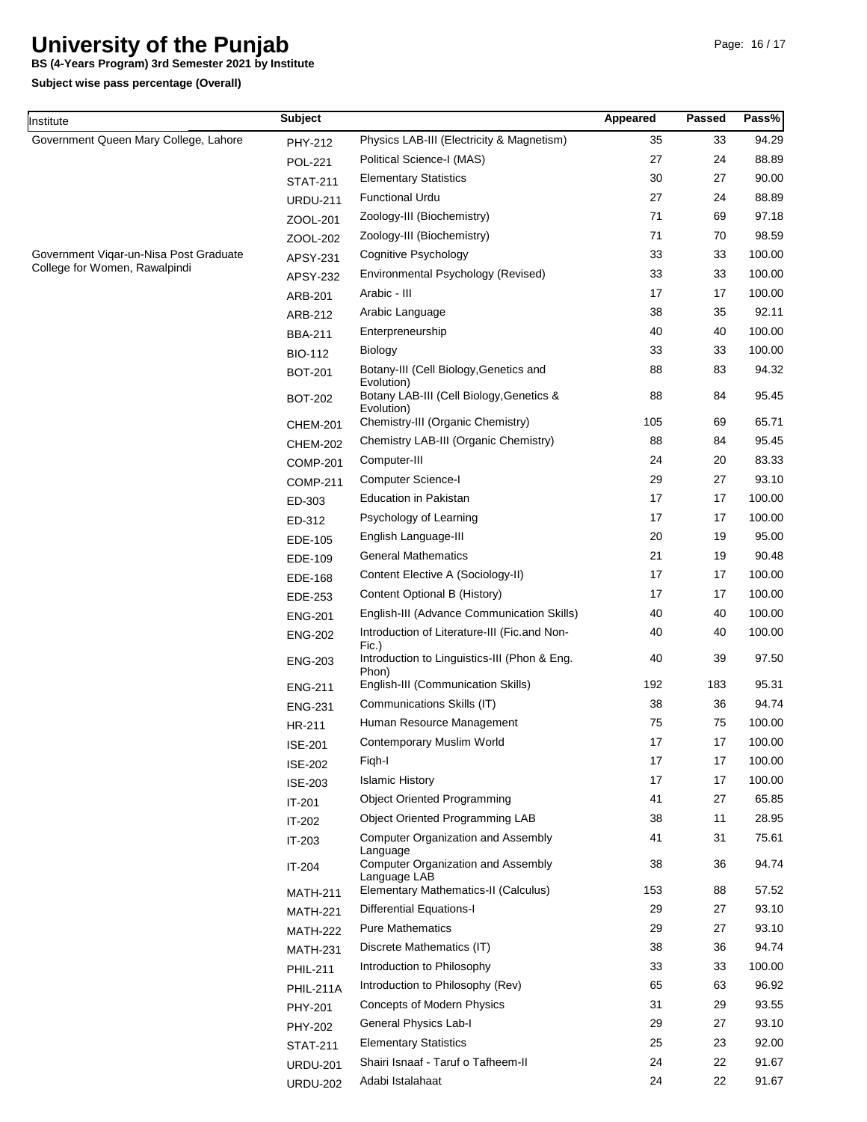**BS (4-Years Program) 3rd Semester 2021 by Institute**

| Institute                                                               | <b>Subject</b>   |                                                                                                    | Appeared | <b>Passed</b> | Pass%           |
|-------------------------------------------------------------------------|------------------|----------------------------------------------------------------------------------------------------|----------|---------------|-----------------|
| Government Queen Mary College, Lahore                                   | PHY-212          | Physics LAB-III (Electricity & Magnetism)                                                          | 35       | 33            | 94.29           |
|                                                                         | <b>POL-221</b>   | Political Science-I (MAS)                                                                          | 27       | 24            | 88.89           |
|                                                                         | <b>STAT-211</b>  | <b>Elementary Statistics</b>                                                                       | 30       | 27            | 90.00           |
|                                                                         | <b>URDU-211</b>  | <b>Functional Urdu</b>                                                                             | 27       | 24            | 88.89           |
|                                                                         | ZOOL-201         | Zoology-III (Biochemistry)                                                                         | 71       | 69            | 97.18           |
| Government Vigar-un-Nisa Post Graduate<br>College for Women, Rawalpindi | ZOOL-202         | Zoology-III (Biochemistry)                                                                         | 71       | 70            | 98.59           |
|                                                                         | APSY-231         | <b>Cognitive Psychology</b>                                                                        | 33       | 33            | 100.00          |
|                                                                         | <b>APSY-232</b>  | Environmental Psychology (Revised)                                                                 | 33       | 33            | 100.00          |
|                                                                         | ARB-201          | Arabic - III                                                                                       | 17       | 17            | 100.00          |
|                                                                         | ARB-212          | Arabic Language                                                                                    | 38       | 35            | 92.11           |
|                                                                         | <b>BBA-211</b>   | Enterpreneurship                                                                                   | 40       | 40            | 100.00          |
|                                                                         | <b>BIO-112</b>   | <b>Biology</b>                                                                                     | 33       | 33            | 100.00          |
|                                                                         | <b>BOT-201</b>   | Botany-III (Cell Biology, Genetics and<br>Evolution)                                               | 88       | 83            | 94.32           |
|                                                                         | <b>BOT-202</b>   | Botany LAB-III (Cell Biology, Genetics &<br>Evolution)                                             | 88       | 84            | 95.45           |
|                                                                         | CHEM-201         | Chemistry-III (Organic Chemistry)                                                                  | 105      | 69            | 65.71           |
|                                                                         | <b>CHEM-202</b>  | Chemistry LAB-III (Organic Chemistry)                                                              | 88       | 84            | 95.45           |
|                                                                         | <b>COMP-201</b>  | Computer-III                                                                                       | 24       | 20            | 83.33           |
|                                                                         | <b>COMP-211</b>  | <b>Computer Science-I</b>                                                                          | 29       | 27            | 93.10           |
|                                                                         | ED-303           | <b>Education in Pakistan</b>                                                                       | 17       | 17            | 100.00          |
|                                                                         | ED-312           | Psychology of Learning                                                                             | 17       | 17            | 100.00          |
|                                                                         | EDE-105          | English Language-III                                                                               | 20       | 19            | 95.00           |
|                                                                         | EDE-109          | <b>General Mathematics</b>                                                                         | 21       | 19            | 90.48           |
|                                                                         | EDE-168          | Content Elective A (Sociology-II)                                                                  | 17       | 17            | 100.00          |
|                                                                         | EDE-253          | Content Optional B (History)                                                                       | 17       | 17            | 100.00          |
|                                                                         | <b>ENG-201</b>   | English-III (Advance Communication Skills)                                                         | 40       | 40            | 100.00          |
|                                                                         | <b>ENG-202</b>   | Introduction of Literature-III (Fic.and Non-<br>Fic.)                                              | 40       | 40            | 100.00          |
|                                                                         | <b>ENG-203</b>   | Introduction to Linguistics-III (Phon & Eng.<br>Phon)                                              | 40       | 39            | 97.50           |
|                                                                         | <b>ENG-211</b>   | English-III (Communication Skills)                                                                 | 192      | 183           | 95.31           |
|                                                                         | <b>ENG-231</b>   | Communications Skills (IT)                                                                         | 38       | 36            | 94.74           |
|                                                                         | HR-211           | Human Resource Management                                                                          | 75       | 75            | 100.00          |
|                                                                         | <b>ISE-201</b>   | Contemporary Muslim World                                                                          | 17       | 17            | 100.00          |
|                                                                         | <b>ISE-202</b>   | Figh-I                                                                                             | 17       | 17            | 100.00          |
|                                                                         | <b>ISE-203</b>   | <b>Islamic History</b>                                                                             | 17       | 17            | 100.00          |
|                                                                         | $IT-201$         | <b>Object Oriented Programming</b>                                                                 | 41       | 27            | 65.85           |
|                                                                         | IT-202           | <b>Object Oriented Programming LAB</b>                                                             | 38       | 11            | 28.95           |
|                                                                         | IT-203<br>IT-204 | <b>Computer Organization and Assembly</b><br>Language<br><b>Computer Organization and Assembly</b> | 41<br>38 | 31<br>36      | 75.61<br>94.74  |
|                                                                         |                  | Language LAB<br>Elementary Mathematics-II (Calculus)                                               | 153      | 88            | 57.52           |
|                                                                         | <b>MATH-211</b>  |                                                                                                    |          |               |                 |
|                                                                         | <b>MATH-221</b>  | <b>Differential Equations-I</b><br><b>Pure Mathematics</b>                                         | 29<br>29 | 27<br>27      | 93.10<br>93.10  |
|                                                                         | <b>MATH-222</b>  |                                                                                                    |          |               |                 |
|                                                                         | <b>MATH-231</b>  | Discrete Mathematics (IT)<br>Introduction to Philosophy                                            | 38<br>33 | 36<br>33      | 94.74<br>100.00 |
|                                                                         | <b>PHIL-211</b>  | Introduction to Philosophy (Rev)                                                                   | 65       | 63            | 96.92           |
|                                                                         | <b>PHIL-211A</b> |                                                                                                    | 31       | 29            | 93.55           |
|                                                                         | <b>PHY-201</b>   | Concepts of Modern Physics<br>General Physics Lab-I                                                | 29       | 27            | 93.10           |
|                                                                         | <b>PHY-202</b>   | <b>Elementary Statistics</b>                                                                       | 25       | 23            | 92.00           |
|                                                                         | <b>STAT-211</b>  | Shairi Isnaaf - Taruf o Tafheem-II                                                                 | 24       | 22            | 91.67           |
|                                                                         | <b>URDU-201</b>  | Adabi Istalahaat                                                                                   | 24       | 22            | 91.67           |
|                                                                         | <b>URDU-202</b>  |                                                                                                    |          |               |                 |